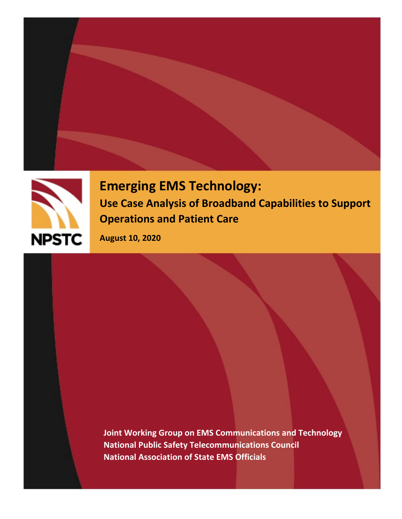



**Emerging EMS Technology: Use Case Analysis of Broadband Capabilities to Support Operations and Patient Care**

**August 10, 2020**

**Joint Working Group on EMS Communications and Technology National Public Safety Telecommunications Council National Association of State EMS Officials**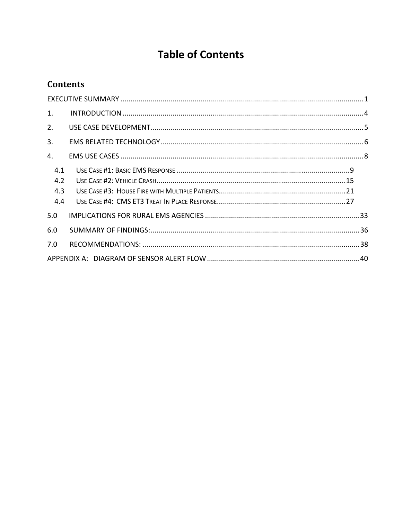# **Table of Contents**

# **Contents**

| 1.  |  |  |  |  |  |
|-----|--|--|--|--|--|
| 2.  |  |  |  |  |  |
| 3.  |  |  |  |  |  |
| 4.  |  |  |  |  |  |
| 4.1 |  |  |  |  |  |
| 4.2 |  |  |  |  |  |
| 4.3 |  |  |  |  |  |
| 4.4 |  |  |  |  |  |
| 5.0 |  |  |  |  |  |
| 6.0 |  |  |  |  |  |
| 7.0 |  |  |  |  |  |
|     |  |  |  |  |  |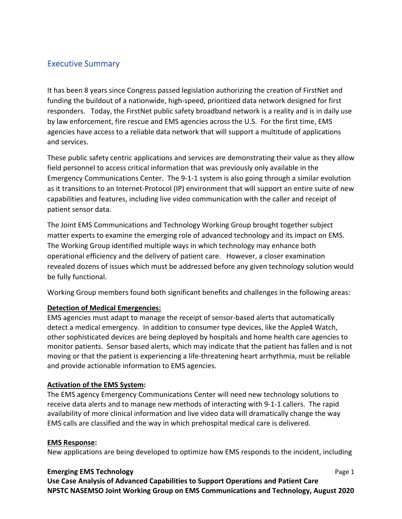# Executive Summary

It has been 8 years since Congress passed legislation authorizing the creation of FirstNet and funding the buildout of a nationwide, high‐speed, prioritized data network designed for first responders. Today, the FirstNet public safety broadband network is a reality and is in daily use by law enforcement, fire rescue and EMS agencies across the U.S. For the first time, EMS agencies have access to a reliable data network that will support a multitude of applications and services.

These public safety centric applications and services are demonstrating their value as they allow field personnel to access critical information that was previously only available in the Emergency Communications Center. The 9-1-1 system is also going through a similar evolution as it transitions to an Internet-Protocol (IP) environment that will support an entire suite of new capabilities and features, including live video communication with the caller and receipt of patient sensor data.

The Joint EMS Communications and Technology Working Group brought together subject matter experts to examine the emerging role of advanced technology and its impact on EMS. The Working Group identified multiple ways in which technology may enhance both operational efficiency and the delivery of patient care. However, a closer examination revealed dozens of issues which must be addressed before any given technology solution would be fully functional.

Working Group members found both significant benefits and challenges in the following areas:

# **Detection of Medical Emergencies:**

EMS agencies must adapt to manage the receipt of sensor‐based alerts that automatically detect a medical emergency. In addition to consumer type devices, like the Apple4 Watch, other sophisticated devices are being deployed by hospitals and home health care agencies to monitor patients. Sensor based alerts, which may indicate that the patient has fallen and is not moving or that the patient is experiencing a life‐threatening heart arrhythmia, must be reliable and provide actionable information to EMS agencies.

### **Activation of the EMS System:**

The EMS agency Emergency Communications Center will need new technology solutions to receive data alerts and to manage new methods of interacting with 9‐1‐1 callers. The rapid availability of more clinical information and live video data will dramatically change the way EMS calls are classified and the way in which prehospital medical care is delivered.

### **EMS Response:**

New applications are being developed to optimize how EMS responds to the incident, including

### **Emerging EMS Technology**  Page 1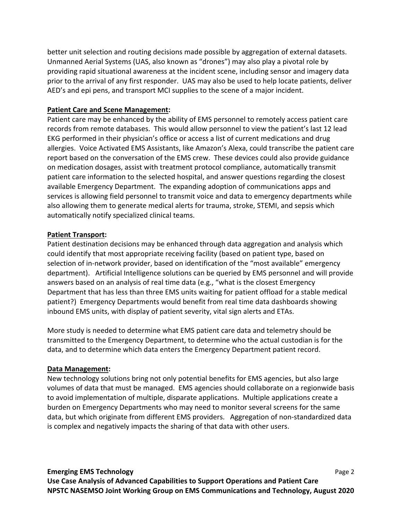better unit selection and routing decisions made possible by aggregation of external datasets. Unmanned Aerial Systems (UAS, also known as "drones") may also play a pivotal role by providing rapid situational awareness at the incident scene, including sensor and imagery data prior to the arrival of any first responder. UAS may also be used to help locate patients, deliver AED's and epi pens, and transport MCI supplies to the scene of a major incident.

# **Patient Care and Scene Management:**

Patient care may be enhanced by the ability of EMS personnel to remotely access patient care records from remote databases. This would allow personnel to view the patient's last 12 lead EKG performed in their physician's office or access a list of current medications and drug allergies. Voice Activated EMS Assistants, like Amazon's Alexa, could transcribe the patient care report based on the conversation of the EMS crew. These devices could also provide guidance on medication dosages, assist with treatment protocol compliance, automatically transmit patient care information to the selected hospital, and answer questions regarding the closest available Emergency Department. The expanding adoption of communications apps and services is allowing field personnel to transmit voice and data to emergency departments while also allowing them to generate medical alerts for trauma, stroke, STEMI, and sepsis which automatically notify specialized clinical teams.

# **Patient Transport:**

Patient destination decisions may be enhanced through data aggregation and analysis which could identify that most appropriate receiving facility (based on patient type, based on selection of in‐network provider, based on identification of the "most available" emergency department). Artificial Intelligence solutions can be queried by EMS personnel and will provide answers based on an analysis of real time data (e.g., "what is the closest Emergency Department that has less than three EMS units waiting for patient offload for a stable medical patient?) Emergency Departments would benefit from real time data dashboards showing inbound EMS units, with display of patient severity, vital sign alerts and ETAs.

More study is needed to determine what EMS patient care data and telemetry should be transmitted to the Emergency Department, to determine who the actual custodian is for the data, and to determine which data enters the Emergency Department patient record.

# **Data Management:**

New technology solutions bring not only potential benefits for EMS agencies, but also large volumes of data that must be managed. EMS agencies should collaborate on a regionwide basis to avoid implementation of multiple, disparate applications. Multiple applications create a burden on Emergency Departments who may need to monitor several screens for the same data, but which originate from different EMS providers. Aggregation of non‐standardized data is complex and negatively impacts the sharing of that data with other users.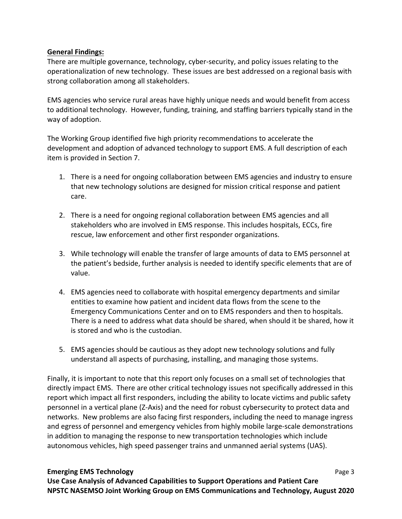### **General Findings:**

There are multiple governance, technology, cyber‐security, and policy issues relating to the operationalization of new technology. These issues are best addressed on a regional basis with strong collaboration among all stakeholders.

EMS agencies who service rural areas have highly unique needs and would benefit from access to additional technology. However, funding, training, and staffing barriers typically stand in the way of adoption.

The Working Group identified five high priority recommendations to accelerate the development and adoption of advanced technology to support EMS. A full description of each item is provided in Section 7.

- 1. There is a need for ongoing collaboration between EMS agencies and industry to ensure that new technology solutions are designed for mission critical response and patient care.
- 2. There is a need for ongoing regional collaboration between EMS agencies and all stakeholders who are involved in EMS response. This includes hospitals, ECCs, fire rescue, law enforcement and other first responder organizations.
- 3. While technology will enable the transfer of large amounts of data to EMS personnel at the patient's bedside, further analysis is needed to identify specific elements that are of value.
- 4. EMS agencies need to collaborate with hospital emergency departments and similar entities to examine how patient and incident data flows from the scene to the Emergency Communications Center and on to EMS responders and then to hospitals. There is a need to address what data should be shared, when should it be shared, how it is stored and who is the custodian.
- 5. EMS agencies should be cautious as they adopt new technology solutions and fully understand all aspects of purchasing, installing, and managing those systems.

Finally, it is important to note that this report only focuses on a small set of technologies that directly impact EMS. There are other critical technology issues not specifically addressed in this report which impact all first responders, including the ability to locate victims and public safety personnel in a vertical plane (Z‐Axis) and the need for robust cybersecurity to protect data and networks. New problems are also facing first responders, including the need to manage ingress and egress of personnel and emergency vehicles from highly mobile large-scale demonstrations in addition to managing the response to new transportation technologies which include autonomous vehicles, high speed passenger trains and unmanned aerial systems (UAS).

### **Emerging EMS Technology**  Page 3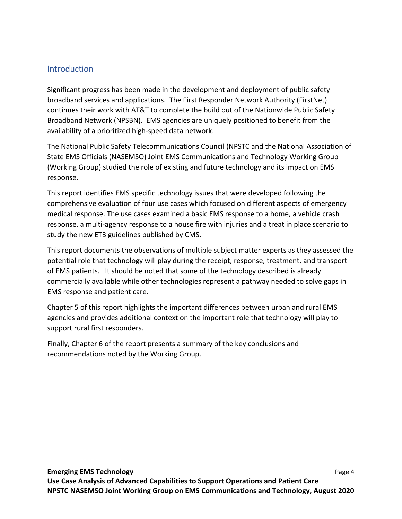# **Introduction**

Significant progress has been made in the development and deployment of public safety broadband services and applications. The First Responder Network Authority (FirstNet) continues their work with AT&T to complete the build out of the Nationwide Public Safety Broadband Network (NPSBN). EMS agencies are uniquely positioned to benefit from the availability of a prioritized high‐speed data network.

The National Public Safety Telecommunications Council (NPSTC and the National Association of State EMS Officials (NASEMSO) Joint EMS Communications and Technology Working Group (Working Group) studied the role of existing and future technology and its impact on EMS response.

This report identifies EMS specific technology issues that were developed following the comprehensive evaluation of four use cases which focused on different aspects of emergency medical response. The use cases examined a basic EMS response to a home, a vehicle crash response, a multi‐agency response to a house fire with injuries and a treat in place scenario to study the new ET3 guidelines published by CMS.

This report documents the observations of multiple subject matter experts as they assessed the potential role that technology will play during the receipt, response, treatment, and transport of EMS patients. It should be noted that some of the technology described is already commercially available while other technologies represent a pathway needed to solve gaps in EMS response and patient care.

Chapter 5 of this report highlights the important differences between urban and rural EMS agencies and provides additional context on the important role that technology will play to support rural first responders.

Finally, Chapter 6 of the report presents a summary of the key conclusions and recommendations noted by the Working Group.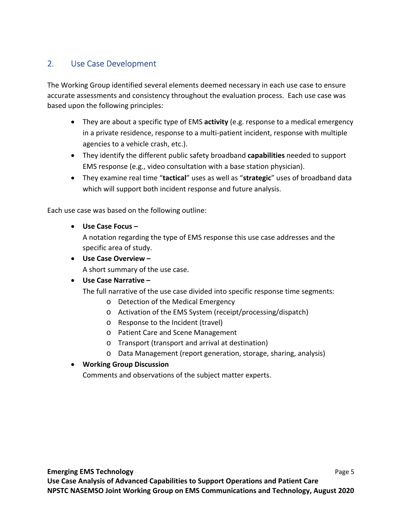# 2. Use Case Development

The Working Group identified several elements deemed necessary in each use case to ensure accurate assessments and consistency throughout the evaluation process. Each use case was based upon the following principles:

- They are about a specific type of EMS **activity** (e.g. response to a medical emergency in a private residence, response to a multi‐patient incident, response with multiple agencies to a vehicle crash, etc.).
- They identify the different public safety broadband **capabilities** needed to support EMS response (e.g., video consultation with a base station physician).
- They examine real time "**tactical**" uses as well as "**strategic**" uses of broadband data which will support both incident response and future analysis.

Each use case was based on the following outline:

**Use Case Focus –**

A notation regarding the type of EMS response this use case addresses and the specific area of study.

**Use Case Overview –**

A short summary of the use case.

# **Use Case Narrative –**

The full narrative of the use case divided into specific response time segments:

- o Detection of the Medical Emergency
- o Activation of the EMS System (receipt/processing/dispatch)
- o Response to the Incident (travel)
- o Patient Care and Scene Management
- o Transport (transport and arrival at destination)
- o Data Management (report generation, storage, sharing, analysis)

# **Working Group Discussion**

Comments and observations of the subject matter experts.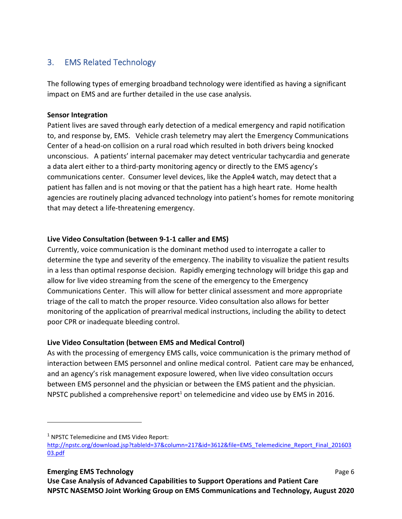# 3. EMS Related Technology

The following types of emerging broadband technology were identified as having a significant impact on EMS and are further detailed in the use case analysis.

# **Sensor Integration**

Patient lives are saved through early detection of a medical emergency and rapid notification to, and response by, EMS. Vehicle crash telemetry may alert the Emergency Communications Center of a head‐on collision on a rural road which resulted in both drivers being knocked unconscious. A patients' internal pacemaker may detect ventricular tachycardia and generate a data alert either to a third‐party monitoring agency or directly to the EMS agency's communications center. Consumer level devices, like the Apple4 watch, may detect that a patient has fallen and is not moving or that the patient has a high heart rate. Home health agencies are routinely placing advanced technology into patient's homes for remote monitoring that may detect a life‐threatening emergency.

# **Live Video Consultation (between 9‐1‐1 caller and EMS)**

Currently, voice communication is the dominant method used to interrogate a caller to determine the type and severity of the emergency. The inability to visualize the patient results in a less than optimal response decision. Rapidly emerging technology will bridge this gap and allow for live video streaming from the scene of the emergency to the Emergency Communications Center. This will allow for better clinical assessment and more appropriate triage of the call to match the proper resource. Video consultation also allows for better monitoring of the application of prearrival medical instructions, including the ability to detect poor CPR or inadequate bleeding control.

# **Live Video Consultation (between EMS and Medical Control)**

As with the processing of emergency EMS calls, voice communication is the primary method of interaction between EMS personnel and online medical control. Patient care may be enhanced, and an agency's risk management exposure lowered, when live video consultation occurs between EMS personnel and the physician or between the EMS patient and the physician. NPSTC published a comprehensive report<sup>1</sup> on telemedicine and video use by EMS in 2016.

<sup>&</sup>lt;sup>1</sup> NPSTC Telemedicine and EMS Video Report:

http://npstc.org/download.jsp?tableId=37&column=217&id=3612&file=EMS\_Telemedicine\_Report\_Final\_201603 03.pdf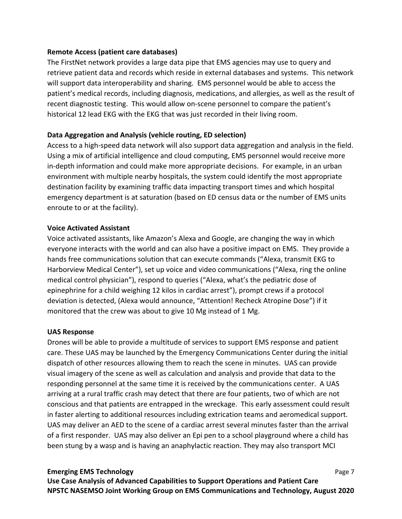### **Remote Access (patient care databases)**

The FirstNet network provides a large data pipe that EMS agencies may use to query and retrieve patient data and records which reside in external databases and systems. This network will support data interoperability and sharing. EMS personnel would be able to access the patient's medical records, including diagnosis, medications, and allergies, as well as the result of recent diagnostic testing. This would allow on‐scene personnel to compare the patient's historical 12 lead EKG with the EKG that was just recorded in their living room.

# **Data Aggregation and Analysis (vehicle routing, ED selection)**

Access to a high‐speed data network will also support data aggregation and analysis in the field. Using a mix of artificial intelligence and cloud computing, EMS personnel would receive more in-depth information and could make more appropriate decisions. For example, in an urban environment with multiple nearby hospitals, the system could identify the most appropriate destination facility by examining traffic data impacting transport times and which hospital emergency department is at saturation (based on ED census data or the number of EMS units enroute to or at the facility).

### **Voice Activated Assistant**

Voice activated assistants, like Amazon's Alexa and Google, are changing the way in which everyone interacts with the world and can also have a positive impact on EMS. They provide a hands free communications solution that can execute commands ("Alexa, transmit EKG to Harborview Medical Center"), set up voice and video communications ("Alexa, ring the online medical control physician"), respond to queries ("Alexa, what's the pediatric dose of epinephrine for a child weighing 12 kilos in cardiac arrest"), prompt crews if a protocol deviation is detected, (Alexa would announce, "Attention! Recheck Atropine Dose") if it monitored that the crew was about to give 10 Mg instead of 1 Mg.

### **UAS Response**

Drones will be able to provide a multitude of services to support EMS response and patient care. These UAS may be launched by the Emergency Communications Center during the initial dispatch of other resources allowing them to reach the scene in minutes. UAS can provide visual imagery of the scene as well as calculation and analysis and provide that data to the responding personnel at the same time it is received by the communications center. A UAS arriving at a rural traffic crash may detect that there are four patients, two of which are not conscious and that patients are entrapped in the wreckage. This early assessment could result in faster alerting to additional resources including extrication teams and aeromedical support. UAS may deliver an AED to the scene of a cardiac arrest several minutes faster than the arrival of a first responder. UAS may also deliver an Epi pen to a school playground where a child has been stung by a wasp and is having an anaphylactic reaction. They may also transport MCI

### **Emerging EMS Technology 8 and 2008 Control of the Case 7 and 2008 Control of the Page 7 and 2008 Control of the Page 7 and 2008 Control of the Page 7 and 2008 Control of the Page 7 and 2008 Control of the Page 7 and 2008**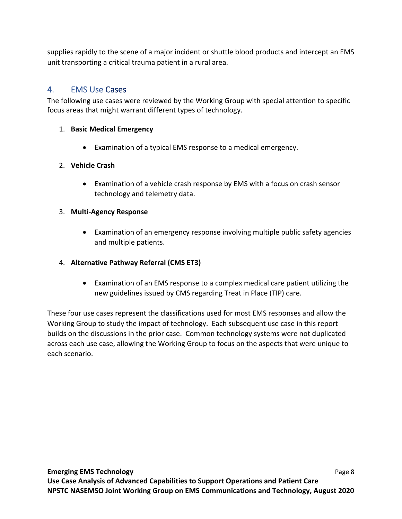supplies rapidly to the scene of a major incident or shuttle blood products and intercept an EMS unit transporting a critical trauma patient in a rural area.

# 4. EMS Use Cases

The following use cases were reviewed by the Working Group with special attention to specific focus areas that might warrant different types of technology.

# 1. **Basic Medical Emergency**

Examination of a typical EMS response to a medical emergency.

# 2. **Vehicle Crash**

 Examination of a vehicle crash response by EMS with a focus on crash sensor technology and telemetry data.

# 3. **Multi‐Agency Response**

 Examination of an emergency response involving multiple public safety agencies and multiple patients.

# 4. **Alternative Pathway Referral (CMS ET3)**

 Examination of an EMS response to a complex medical care patient utilizing the new guidelines issued by CMS regarding Treat in Place (TIP) care.

These four use cases represent the classifications used for most EMS responses and allow the Working Group to study the impact of technology. Each subsequent use case in this report builds on the discussions in the prior case. Common technology systems were not duplicated across each use case, allowing the Working Group to focus on the aspects that were unique to each scenario.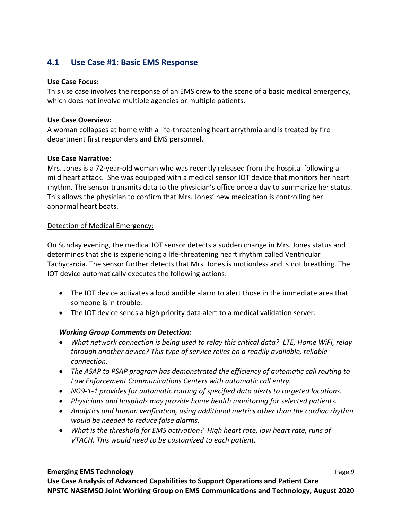# **4.1 Use Case #1: Basic EMS Response**

### **Use Case Focus:**

This use case involves the response of an EMS crew to the scene of a basic medical emergency, which does not involve multiple agencies or multiple patients.

### **Use Case Overview:**

A woman collapses at home with a life‐threatening heart arrythmia and is treated by fire department first responders and EMS personnel.

# **Use Case Narrative:**

Mrs. Jones is a 72‐year‐old woman who was recently released from the hospital following a mild heart attack. She was equipped with a medical sensor IOT device that monitors her heart rhythm. The sensor transmits data to the physician's office once a day to summarize her status. This allows the physician to confirm that Mrs. Jones' new medication is controlling her abnormal heart beats.

# Detection of Medical Emergency:

On Sunday evening, the medical IOT sensor detects a sudden change in Mrs. Jones status and determines that she is experiencing a life‐threatening heart rhythm called Ventricular Tachycardia. The sensor further detects that Mrs. Jones is motionless and is not breathing. The IOT device automatically executes the following actions:

- The IOT device activates a loud audible alarm to alert those in the immediate area that someone is in trouble.
- The IOT device sends a high priority data alert to a medical validation server.

# *Working Group Comments on Detection:*

- *What network connection is being used to relay this critical data? LTE, Home WiFi, relay through another device? This type of service relies on a readily available, reliable connection.*
- *The ASAP to PSAP program has demonstrated the efficiency of automatic call routing to Law Enforcement Communications Centers with automatic call entry.*
- *NG9‐1‐1 provides for automatic routing of specified data alerts to targeted locations.*
- *Physicians and hospitals may provide home health monitoring for selected patients.*
- *Analytics and human verification, using additional metrics other than the cardiac rhythm would be needed to reduce false alarms.*
- *What is the threshold for EMS activation? High heart rate, low heart rate, runs of VTACH. This would need to be customized to each patient.*

# **Emerging EMS Technology 8 and 2008 Control of the Control of Page 9 and 2008 Page 9 and 2008 Page 9 and 2008 Page 9 and 2008 Page 9 and 2008 Page 9 and 2008 Page 9 and 2008 Page 9 and 2008 Page 9 and 2008 Page 9 and 2008**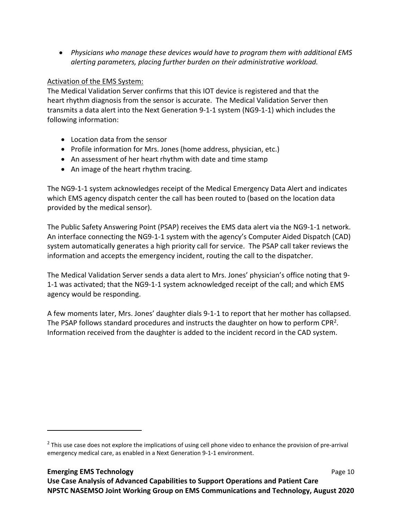*Physicians who manage these devices would have to program them with additional EMS alerting parameters, placing further burden on their administrative workload.*

# Activation of the EMS System:

The Medical Validation Server confirms that this IOT device is registered and that the heart rhythm diagnosis from the sensor is accurate. The Medical Validation Server then transmits a data alert into the Next Generation 9‐1‐1 system (NG9‐1‐1) which includes the following information:

- Location data from the sensor
- Profile information for Mrs. Jones (home address, physician, etc.)
- An assessment of her heart rhythm with date and time stamp
- An image of the heart rhythm tracing.

The NG9‐1‐1 system acknowledges receipt of the Medical Emergency Data Alert and indicates which EMS agency dispatch center the call has been routed to (based on the location data provided by the medical sensor).

The Public Safety Answering Point (PSAP) receives the EMS data alert via the NG9‐1‐1 network. An interface connecting the NG9‐1‐1 system with the agency's Computer Aided Dispatch (CAD) system automatically generates a high priority call for service. The PSAP call taker reviews the information and accepts the emergency incident, routing the call to the dispatcher.

The Medical Validation Server sends a data alert to Mrs. Jones' physician's office noting that 9‐ 1‐1 was activated; that the NG9‐1‐1 system acknowledged receipt of the call; and which EMS agency would be responding.

A few moments later, Mrs. Jones' daughter dials 9‐1‐1 to report that her mother has collapsed. The PSAP follows standard procedures and instructs the daughter on how to perform  $\text{CPR}^2$ . Information received from the daughter is added to the incident record in the CAD system.

 $2$  This use case does not explore the implications of using cell phone video to enhance the provision of pre-arrival emergency medical care, as enabled in a Next Generation 9‐1‐1 environment.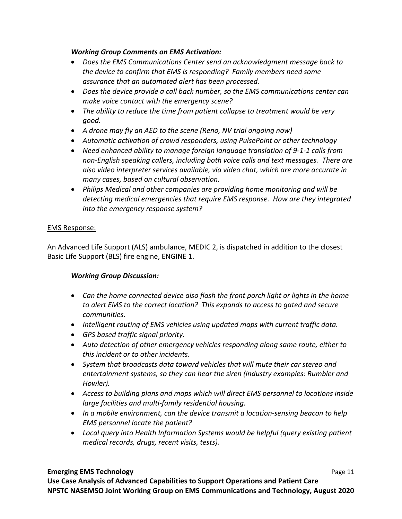# *Working Group Comments on EMS Activation:*

- *Does the EMS Communications Center send an acknowledgment message back to the device to confirm that EMS is responding? Family members need some assurance that an automated alert has been processed.*
- *Does the device provide a call back number, so the EMS communications center can make voice contact with the emergency scene?*
- *The ability to reduce the time from patient collapse to treatment would be very good.*
- *A drone may fly an AED to the scene (Reno, NV trial ongoing now)*
- *Automatic activation of crowd responders, using PulsePoint or other technology*
- *Need enhanced ability to manage foreign language translation of 9‐1‐1 calls from non‐English speaking callers, including both voice calls and text messages. There are also video interpreter services available, via video chat, which are more accurate in many cases, based on cultural observation.*
- *Philips Medical and other companies are providing home monitoring and will be detecting medical emergencies that require EMS response. How are they integrated into the emergency response system?*

# EMS Response:

An Advanced Life Support (ALS) ambulance, MEDIC 2, is dispatched in addition to the closest Basic Life Support (BLS) fire engine, ENGINE 1.

# *Working Group Discussion:*

- *Can the home connected device also flash the front porch light or lights in the home to alert EMS to the correct location? This expands to access to gated and secure communities.*
- *Intelligent routing of EMS vehicles using updated maps with current traffic data.*
- *GPS based traffic signal priority.*
- *Auto detection of other emergency vehicles responding along same route, either to this incident or to other incidents.*
- *System that broadcasts data toward vehicles that will mute their car stereo and entertainment systems, so they can hear the siren (industry examples: Rumbler and Howler).*
- *Access to building plans and maps which will direct EMS personnel to locations inside large facilities and multi‐family residential housing.*
- *In a mobile environment, can the device transmit a location‐sensing beacon to help EMS personnel locate the patient?*
- *Local query into Health Information Systems would be helpful (query existing patient medical records, drugs, recent visits, tests).*

# **Emerging EMS Technology 12 Second 2009 12 Second 2009 12 Second 2009 12 Second 2009 12 Second 2009 12 Second 2009 12 Second 2009 12 Second 2009 12 Second 2009 12 Second 2009 12 Second 2009 12 Second 2009 12 Second 2009**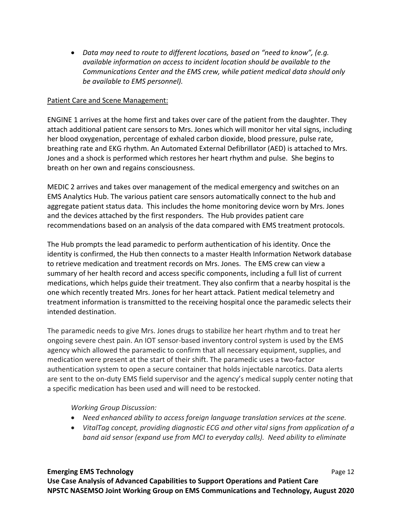*Data may need to route to different locations, based on "need to know", (e.g. available information on access to incident location should be available to the Communications Center and the EMS crew, while patient medical data should only be available to EMS personnel).*

### Patient Care and Scene Management:

ENGINE 1 arrives at the home first and takes over care of the patient from the daughter. They attach additional patient care sensors to Mrs. Jones which will monitor her vital signs, including her blood oxygenation, percentage of exhaled carbon dioxide, blood pressure, pulse rate, breathing rate and EKG rhythm. An Automated External Defibrillator (AED) is attached to Mrs. Jones and a shock is performed which restores her heart rhythm and pulse. She begins to breath on her own and regains consciousness.

MEDIC 2 arrives and takes over management of the medical emergency and switches on an EMS Analytics Hub. The various patient care sensors automatically connect to the hub and aggregate patient status data. This includes the home monitoring device worn by Mrs. Jones and the devices attached by the first responders. The Hub provides patient care recommendations based on an analysis of the data compared with EMS treatment protocols.

The Hub prompts the lead paramedic to perform authentication of his identity. Once the identity is confirmed, the Hub then connects to a master Health Information Network database to retrieve medication and treatment records on Mrs. Jones. The EMS crew can view a summary of her health record and access specific components, including a full list of current medications, which helps guide their treatment. They also confirm that a nearby hospital is the one which recently treated Mrs. Jones for her heart attack. Patient medical telemetry and treatment information is transmitted to the receiving hospital once the paramedic selects their intended destination.

The paramedic needs to give Mrs. Jones drugs to stabilize her heart rhythm and to treat her ongoing severe chest pain. An IOT sensor‐based inventory control system is used by the EMS agency which allowed the paramedic to confirm that all necessary equipment, supplies, and medication were present at the start of their shift. The paramedic uses a two‐factor authentication system to open a secure container that holds injectable narcotics. Data alerts are sent to the on-duty EMS field supervisor and the agency's medical supply center noting that a specific medication has been used and will need to be restocked.

*Working Group Discussion:* 

- *Need enhanced ability to access foreign language translation services at the scene.*
- *VitalTag concept, providing diagnostic ECG and other vital signs from application of a band aid sensor (expand use from MCI to everyday calls). Need ability to eliminate*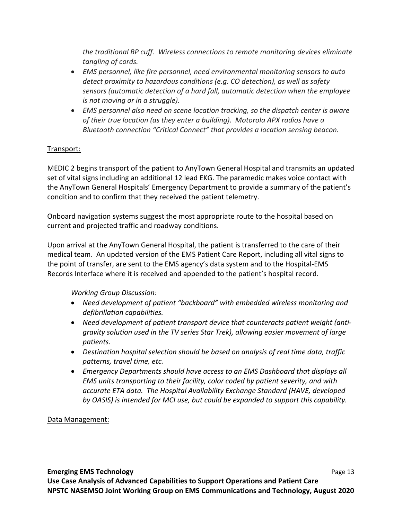*the traditional BP cuff. Wireless connections to remote monitoring devices eliminate tangling of cords.* 

- *EMS personnel, like fire personnel, need environmental monitoring sensors to auto detect proximity to hazardous conditions (e.g. CO detection), as well as safety sensors (automatic detection of a hard fall, automatic detection when the employee is not moving or in a struggle).*
- *EMS personnel also need on scene location tracking, so the dispatch center is aware of their true location (as they enter a building). Motorola APX radios have a Bluetooth connection "Critical Connect" that provides a location sensing beacon.*

# Transport:

MEDIC 2 begins transport of the patient to AnyTown General Hospital and transmits an updated set of vital signs including an additional 12 lead EKG. The paramedic makes voice contact with the AnyTown General Hospitals' Emergency Department to provide a summary of the patient's condition and to confirm that they received the patient telemetry.

Onboard navigation systems suggest the most appropriate route to the hospital based on current and projected traffic and roadway conditions.

Upon arrival at the AnyTown General Hospital, the patient is transferred to the care of their medical team. An updated version of the EMS Patient Care Report, including all vital signs to the point of transfer, are sent to the EMS agency's data system and to the Hospital‐EMS Records Interface where it is received and appended to the patient's hospital record.

# *Working Group Discussion:*

- *Need development of patient "backboard" with embedded wireless monitoring and defibrillation capabilities.*
- *Need development of patient transport device that counteracts patient weight (anti‐ gravity solution used in the TV series Star Trek), allowing easier movement of large patients.*
- *Destination hospital selection should be based on analysis of real time data, traffic patterns, travel time, etc.*
- *Emergency Departments should have access to an EMS Dashboard that displays all EMS units transporting to their facility, color coded by patient severity, and with accurate ETA data. The Hospital Availability Exchange Standard (HAVE, developed by OASIS) is intended for MCI use, but could be expanded to support this capability.*

# Data Management: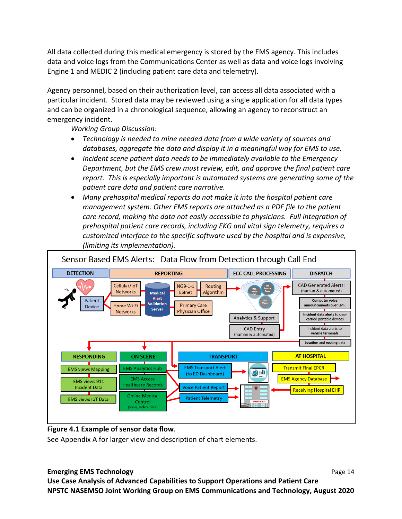All data collected during this medical emergency is stored by the EMS agency. This includes data and voice logs from the Communications Center as well as data and voice logs involving Engine 1 and MEDIC 2 (including patient care data and telemetry).

Agency personnel, based on their authorization level, can access all data associated with a particular incident. Stored data may be reviewed using a single application for all data types and can be organized in a chronological sequence, allowing an agency to reconstruct an emergency incident.

*Working Group Discussion:* 

- *Technology is needed to mine needed data from a wide variety of sources and databases, aggregate the data and display it in a meaningful way for EMS to use.*
- *Incident scene patient data needs to be immediately available to the Emergency Department, but the EMS crew must review, edit, and approve the final patient care report. This is especially important is automated systems are generating some of the patient care data and patient care narrative.*
- *Many prehospital medical reports do not make it into the hospital patient care management system. Other EMS reports are attached as a PDF file to the patient care record, making the data not easily accessible to physicians. Full integration of prehospital patient care records, including EKG and vital sign telemetry, requires a customized interface to the specific software used by the hospital and is expensive, (limiting its implementation).*



# **Figure 4.1 Example of sensor data flow**.

See Appendix A for larger view and description of chart elements.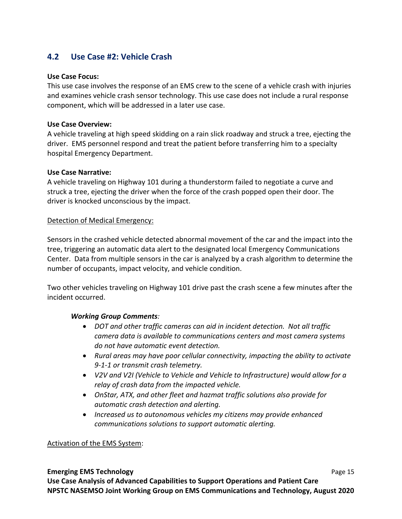# **4.2 Use Case #2: Vehicle Crash**

#### **Use Case Focus:**

This use case involves the response of an EMS crew to the scene of a vehicle crash with injuries and examines vehicle crash sensor technology. This use case does not include a rural response component, which will be addressed in a later use case.

### **Use Case Overview:**

A vehicle traveling at high speed skidding on a rain slick roadway and struck a tree, ejecting the driver. EMS personnel respond and treat the patient before transferring him to a specialty hospital Emergency Department.

### **Use Case Narrative:**

A vehicle traveling on Highway 101 during a thunderstorm failed to negotiate a curve and struck a tree, ejecting the driver when the force of the crash popped open their door. The driver is knocked unconscious by the impact.

### Detection of Medical Emergency:

Sensors in the crashed vehicle detected abnormal movement of the car and the impact into the tree, triggering an automatic data alert to the designated local Emergency Communications Center. Data from multiple sensors in the car is analyzed by a crash algorithm to determine the number of occupants, impact velocity, and vehicle condition.

Two other vehicles traveling on Highway 101 drive past the crash scene a few minutes after the incident occurred.

### *Working Group Comments:*

- *DOT and other traffic cameras can aid in incident detection. Not all traffic camera data is available to communications centers and most camera systems do not have automatic event detection.*
- *Rural areas may have poor cellular connectivity, impacting the ability to activate 9‐1‐1 or transmit crash telemetry.*
- *V2V and V2I (Vehicle to Vehicle and Vehicle to Infrastructure) would allow for a relay of crash data from the impacted vehicle.*
- *OnStar, ATX, and other fleet and hazmat traffic solutions also provide for automatic crash detection and alerting.*
- *Increased us to autonomous vehicles my citizens may provide enhanced communications solutions to support automatic alerting.*

### Activation of the EMS System:

# **Emerging EMS Technology 15 AMS Technology 15 AMS Technology 15 AMS Technology Page 15 Use Case Analysis of Advanced Capabilities to Support Operations and Patient Care NPSTC NASEMSO Joint Working Group on EMS Communications and Technology, August 2020**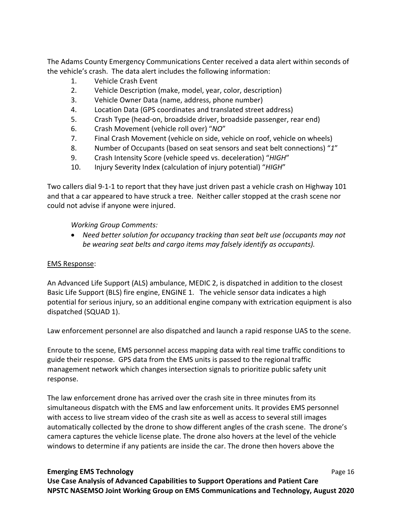The Adams County Emergency Communications Center received a data alert within seconds of the vehicle's crash. The data alert includes the following information:

- 1. Vehicle Crash Event
- 2. Vehicle Description (make, model, year, color, description)
- 3. Vehicle Owner Data (name, address, phone number)
- 4. Location Data (GPS coordinates and translated street address)
- 5. Crash Type (head‐on, broadside driver, broadside passenger, rear end)
- 6. Crash Movement (vehicle roll over) "*NO*"
- 7. Final Crash Movement (vehicle on side, vehicle on roof, vehicle on wheels)
- 8. Number of Occupants (based on seat sensors and seat belt connections) "*1*"
- 9. Crash Intensity Score (vehicle speed vs. deceleration) "*HIGH*"
- 10. Injury Severity Index (calculation of injury potential) "*HIGH*"

Two callers dial 9‐1‐1 to report that they have just driven past a vehicle crash on Highway 101 and that a car appeared to have struck a tree. Neither caller stopped at the crash scene nor could not advise if anyone were injured.

# *Working Group Comments:*

 *Need better solution for occupancy tracking than seat belt use (occupants may not be wearing seat belts and cargo items may falsely identify as occupants).*

# EMS Response:

An Advanced Life Support (ALS) ambulance, MEDIC 2, is dispatched in addition to the closest Basic Life Support (BLS) fire engine, ENGINE 1. The vehicle sensor data indicates a high potential for serious injury, so an additional engine company with extrication equipment is also dispatched (SQUAD 1).

Law enforcement personnel are also dispatched and launch a rapid response UAS to the scene.

Enroute to the scene, EMS personnel access mapping data with real time traffic conditions to guide their response. GPS data from the EMS units is passed to the regional traffic management network which changes intersection signals to prioritize public safety unit response.

The law enforcement drone has arrived over the crash site in three minutes from its simultaneous dispatch with the EMS and law enforcement units. It provides EMS personnel with access to live stream video of the crash site as well as access to several still images automatically collected by the drone to show different angles of the crash scene. The drone's camera captures the vehicle license plate. The drone also hovers at the level of the vehicle windows to determine if any patients are inside the car. The drone then hovers above the

### **Emerging EMS Technology 16 April 2012 12:33 Technology 16 April 2013 Page 16 April 2013 Page 16 April 2013**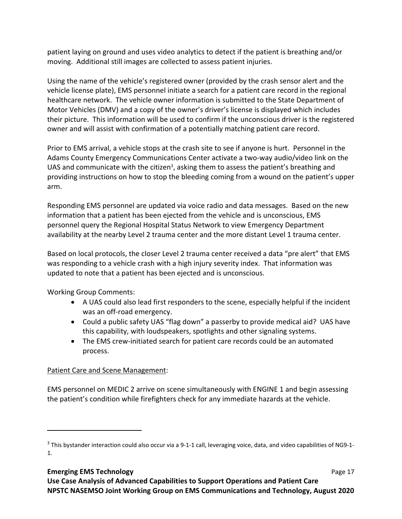patient laying on ground and uses video analytics to detect if the patient is breathing and/or moving. Additional still images are collected to assess patient injuries.

Using the name of the vehicle's registered owner (provided by the crash sensor alert and the vehicle license plate), EMS personnel initiate a search for a patient care record in the regional healthcare network. The vehicle owner information is submitted to the State Department of Motor Vehicles (DMV) and a copy of the owner's driver's license is displayed which includes their picture. This information will be used to confirm if the unconscious driver is the registered owner and will assist with confirmation of a potentially matching patient care record.

Prior to EMS arrival, a vehicle stops at the crash site to see if anyone is hurt. Personnel in the Adams County Emergency Communications Center activate a two-way audio/video link on the UAS and communicate with the citizen<sup>3</sup>, asking them to assess the patient's breathing and providing instructions on how to stop the bleeding coming from a wound on the patient's upper arm.

Responding EMS personnel are updated via voice radio and data messages. Based on the new information that a patient has been ejected from the vehicle and is unconscious, EMS personnel query the Regional Hospital Status Network to view Emergency Department availability at the nearby Level 2 trauma center and the more distant Level 1 trauma center.

Based on local protocols, the closer Level 2 trauma center received a data "pre alert" that EMS was responding to a vehicle crash with a high injury severity index. That information was updated to note that a patient has been ejected and is unconscious.

Working Group Comments:

- A UAS could also lead first responders to the scene, especially helpful if the incident was an off-road emergency.
- Could a public safety UAS "flag down" a passerby to provide medical aid? UAS have this capability, with loudspeakers, spotlights and other signaling systems.
- The EMS crew-initiated search for patient care records could be an automated process.

# Patient Care and Scene Management:

EMS personnel on MEDIC 2 arrive on scene simultaneously with ENGINE 1 and begin assessing the patient's condition while firefighters check for any immediate hazards at the vehicle.

<sup>&</sup>lt;sup>3</sup> This bystander interaction could also occur via a 9-1-1 call, leveraging voice, data, and video capabilities of NG9-1-1.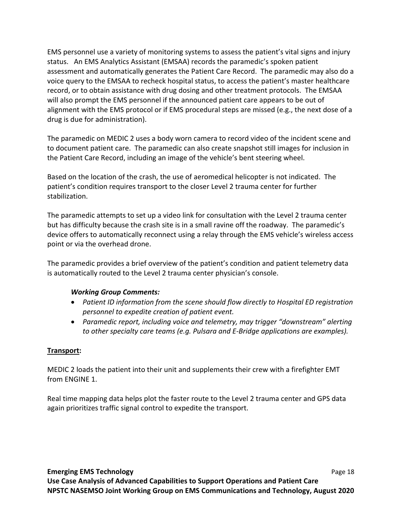EMS personnel use a variety of monitoring systems to assess the patient's vital signs and injury status. An EMS Analytics Assistant (EMSAA) records the paramedic's spoken patient assessment and automatically generates the Patient Care Record. The paramedic may also do a voice query to the EMSAA to recheck hospital status, to access the patient's master healthcare record, or to obtain assistance with drug dosing and other treatment protocols. The EMSAA will also prompt the EMS personnel if the announced patient care appears to be out of alignment with the EMS protocol or if EMS procedural steps are missed (e.g., the next dose of a drug is due for administration).

The paramedic on MEDIC 2 uses a body worn camera to record video of the incident scene and to document patient care. The paramedic can also create snapshot still images for inclusion in the Patient Care Record, including an image of the vehicle's bent steering wheel.

Based on the location of the crash, the use of aeromedical helicopter is not indicated. The patient's condition requires transport to the closer Level 2 trauma center for further stabilization.

The paramedic attempts to set up a video link for consultation with the Level 2 trauma center but has difficulty because the crash site is in a small ravine off the roadway. The paramedic's device offers to automatically reconnect using a relay through the EMS vehicle's wireless access point or via the overhead drone.

The paramedic provides a brief overview of the patient's condition and patient telemetry data is automatically routed to the Level 2 trauma center physician's console.

# *Working Group Comments:*

- *Patient ID information from the scene should flow directly to Hospital ED registration personnel to expedite creation of patient event.*
- *Paramedic report, including voice and telemetry, may trigger "downstream" alerting to other specialty care teams (e.g. Pulsara and E‐Bridge applications are examples).*

### **Transport:**

MEDIC 2 loads the patient into their unit and supplements their crew with a firefighter EMT from ENGINE 1.

Real time mapping data helps plot the faster route to the Level 2 trauma center and GPS data again prioritizes traffic signal control to expedite the transport.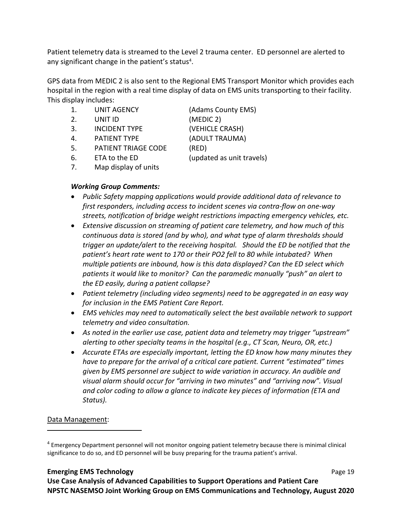Patient telemetry data is streamed to the Level 2 trauma center. ED personnel are alerted to any significant change in the patient's status<sup>4</sup>.

GPS data from MEDIC 2 is also sent to the Regional EMS Transport Monitor which provides each hospital in the region with a real time display of data on EMS units transporting to their facility. This display includes:

- 1. UNIT AGENCY (Adams County EMS)
- 2. UNIT ID (MEDIC 2)
- 3. INCIDENT TYPE (VEHICLE CRASH)
- 4. PATIENT TYPE (ADULT TRAUMA)
- 5. PATIENT TRIAGE CODE (RED)
- 

6. ETA to the ED (updated as unit travels)

7. Map display of units

# *Working Group Comments:*

- *Public Safety mapping applications would provide additional data of relevance to first responders, including access to incident scenes via contra‐flow on one‐way streets, notification of bridge weight restrictions impacting emergency vehicles, etc.*
- *Extensive discussion on streaming of patient care telemetry, and how much of this continuous data is stored (and by who), and what type of alarm thresholds should trigger an update/alert to the receiving hospital. Should the ED be notified that the patient's heart rate went to 170 or their PO2 fell to 80 while intubated? When multiple patients are inbound, how is this data displayed? Can the ED select which patients it would like to monitor? Can the paramedic manually "push" an alert to the ED easily, during a patient collapse?*
- *Patient telemetry (including video segments) need to be aggregated in an easy way for inclusion in the EMS Patient Care Report.*
- *EMS vehicles may need to automatically select the best available network to support telemetry and video consultation.*
- *As noted in the earlier use case, patient data and telemetry may trigger "upstream" alerting to other specialty teams in the hospital (e.g., CT Scan, Neuro, OR, etc.)*
- *Accurate ETAs are especially important, letting the ED know how many minutes they have to prepare for the arrival of a critical care patient. Current "estimated" times given by EMS personnel are subject to wide variation in accuracy. An audible and visual alarm should occur for "arriving in two minutes" and "arriving now". Visual and color coding to allow a glance to indicate key pieces of information (ETA and Status).*

# Data Management:

# **Emerging EMS Technology**  Page 19

<sup>&</sup>lt;sup>4</sup> Emergency Department personnel will not monitor ongoing patient telemetry because there is minimal clinical significance to do so, and ED personnel will be busy preparing for the trauma patient's arrival.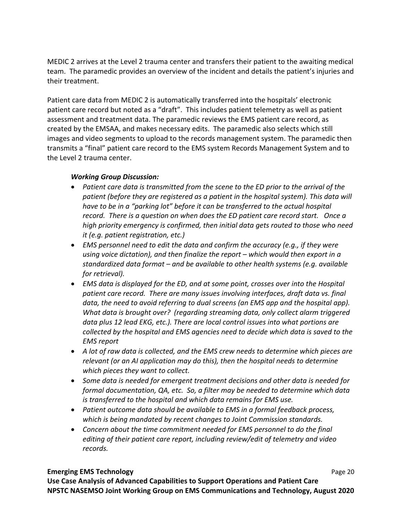MEDIC 2 arrives at the Level 2 trauma center and transfers their patient to the awaiting medical team. The paramedic provides an overview of the incident and details the patient's injuries and their treatment.

Patient care data from MEDIC 2 is automatically transferred into the hospitals' electronic patient care record but noted as a "draft". This includes patient telemetry as well as patient assessment and treatment data. The paramedic reviews the EMS patient care record, as created by the EMSAA, and makes necessary edits. The paramedic also selects which still images and video segments to upload to the records management system. The paramedic then transmits a "final" patient care record to the EMS system Records Management System and to the Level 2 trauma center.

# *Working Group Discussion:*

- *Patient care data is transmitted from the scene to the ED prior to the arrival of the patient (before they are registered as a patient in the hospital system). This data will*  have to be in a "parking lot" before it can be transferred to the actual hospital *record. There is a question on when does the ED patient care record start. Once a high priority emergency is confirmed, then initial data gets routed to those who need it (e.g. patient registration, etc.)*
- *EMS personnel need to edit the data and confirm the accuracy (e.g., if they were using voice dictation), and then finalize the report – which would then export in a standardized data format – and be available to other health systems (e.g. available for retrieval).*
- *EMS data is displayed for the ED, and at some point, crosses over into the Hospital patient care record. There are many issues involving interfaces, draft data vs. final data, the need to avoid referring to dual screens (an EMS app and the hospital app). What data is brought over? (regarding streaming data, only collect alarm triggered data plus 12 lead EKG, etc.). There are local control issues into what portions are collected by the hospital and EMS agencies need to decide which data is saved to the EMS report*
- *A lot of raw data is collected, and the EMS crew needs to determine which pieces are relevant (or an AI application may do this), then the hospital needs to determine which pieces they want to collect.*
- *Some data is needed for emergent treatment decisions and other data is needed for formal documentation, QA, etc. So, a filter may be needed to determine which data is transferred to the hospital and which data remains for EMS use.*
- *Patient outcome data should be available to EMS in a formal feedback process, which is being mandated by recent changes to Joint Commission standards.*
- *Concern about the time commitment needed for EMS personnel to do the final editing of their patient care report, including review/edit of telemetry and video records.*

# **Emerging EMS Technology**  Page 20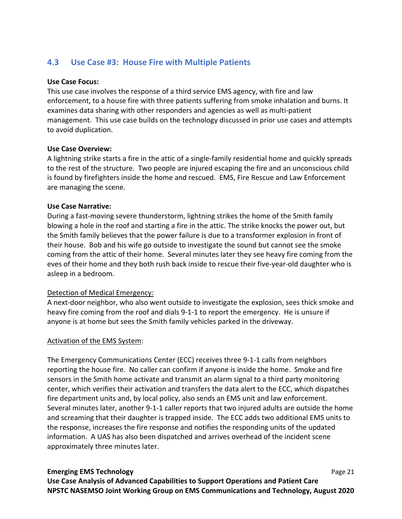# **4.3 Use Case #3: House Fire with Multiple Patients**

### **Use Case Focus:**

This use case involves the response of a third service EMS agency, with fire and law enforcement, to a house fire with three patients suffering from smoke inhalation and burns. It examines data sharing with other responders and agencies as well as multi‐patient management. This use case builds on the technology discussed in prior use cases and attempts to avoid duplication.

### **Use Case Overview:**

A lightning strike starts a fire in the attic of a single‐family residential home and quickly spreads to the rest of the structure. Two people are injured escaping the fire and an unconscious child is found by firefighters inside the home and rescued. EMS, Fire Rescue and Law Enforcement are managing the scene.

### **Use Case Narrative:**

During a fast-moving severe thunderstorm, lightning strikes the home of the Smith family blowing a hole in the roof and starting a fire in the attic. The strike knocks the power out, but the Smith family believes that the power failure is due to a transformer explosion in front of their house. Bob and his wife go outside to investigate the sound but cannot see the smoke coming from the attic of their home. Several minutes later they see heavy fire coming from the eves of their home and they both rush back inside to rescue their five‐year‐old daughter who is asleep in a bedroom.

# Detection of Medical Emergency:

A next-door neighbor, who also went outside to investigate the explosion, sees thick smoke and heavy fire coming from the roof and dials 9-1-1 to report the emergency. He is unsure if anyone is at home but sees the Smith family vehicles parked in the driveway.

### Activation of the EMS System:

The Emergency Communications Center (ECC) receives three 9‐1‐1 calls from neighbors reporting the house fire. No caller can confirm if anyone is inside the home. Smoke and fire sensors in the Smith home activate and transmit an alarm signal to a third party monitoring center, which verifies their activation and transfers the data alert to the ECC, which dispatches fire department units and, by local policy, also sends an EMS unit and law enforcement. Several minutes later, another 9‐1‐1 caller reports that two injured adults are outside the home and screaming that their daughter is trapped inside. The ECC adds two additional EMS units to the response, increases the fire response and notifies the responding units of the updated information. A UAS has also been dispatched and arrives overhead of the incident scene approximately three minutes later.

### **Emerging EMS Technology**  Page 21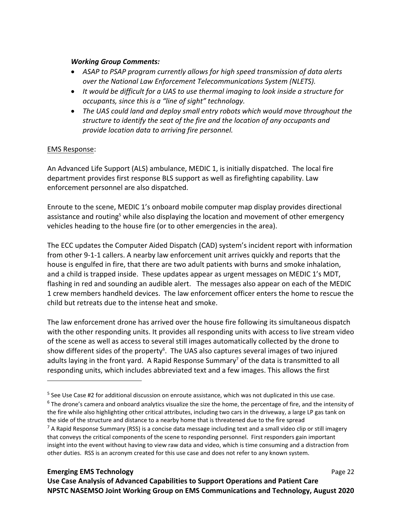### *Working Group Comments:*

- *ASAP to PSAP program currently allows for high speed transmission of data alerts over the National Law Enforcement Telecommunications System (NLETS).*
- *It would be difficult for a UAS to use thermal imaging to look inside a structure for occupants, since this is a "line of sight" technology.*
- *The UAS could land and deploy small entry robots which would move throughout the structure to identify the seat of the fire and the location of any occupants and provide location data to arriving fire personnel.*

# EMS Response:

An Advanced Life Support (ALS) ambulance, MEDIC 1, is initially dispatched. The local fire department provides first response BLS support as well as firefighting capability. Law enforcement personnel are also dispatched.

Enroute to the scene, MEDIC 1's onboard mobile computer map display provides directional assistance and routing<sup>5</sup> while also displaying the location and movement of other emergency vehicles heading to the house fire (or to other emergencies in the area).

The ECC updates the Computer Aided Dispatch (CAD) system's incident report with information from other 9‐1‐1 callers. A nearby law enforcement unit arrives quickly and reports that the house is engulfed in fire, that there are two adult patients with burns and smoke inhalation, and a child is trapped inside. These updates appear as urgent messages on MEDIC 1's MDT, flashing in red and sounding an audible alert. The messages also appear on each of the MEDIC 1 crew members handheld devices. The law enforcement officer enters the home to rescue the child but retreats due to the intense heat and smoke.

The law enforcement drone has arrived over the house fire following its simultaneous dispatch with the other responding units. It provides all responding units with access to live stream video of the scene as well as access to several still images automatically collected by the drone to show different sides of the property<sup>6</sup>. The UAS also captures several images of two injured adults laying in the front yard. A Rapid Response Summary<sup>7</sup> of the data is transmitted to all responding units, which includes abbreviated text and a few images. This allows the first

<sup>6</sup> The drone's camera and onboard analytics visualize the size the home, the percentage of fire, and the intensity of the fire while also highlighting other critical attributes, including two cars in the driveway, a large LP gas tank on the side of the structure and distance to a nearby home that is threatened due to the fire spread  $^7$  A Rapid Response Summary (RSS) is a concise data message including text and a small video clip or still imagery

# **Emerging EMS Technology 1999 CONSUMER 2008 22 CONSUMER 2009 22 CONSUMER 2009 22 CONSUMER 2009 22 CONSUMER 2009**

<sup>&</sup>lt;sup>5</sup> See Use Case #2 for additional discussion on enroute assistance, which was not duplicated in this use case.

that conveys the critical components of the scene to responding personnel. First responders gain important insight into the event without having to view raw data and video, which is time consuming and a distraction from other duties. RSS is an acronym created for this use case and does not refer to any known system.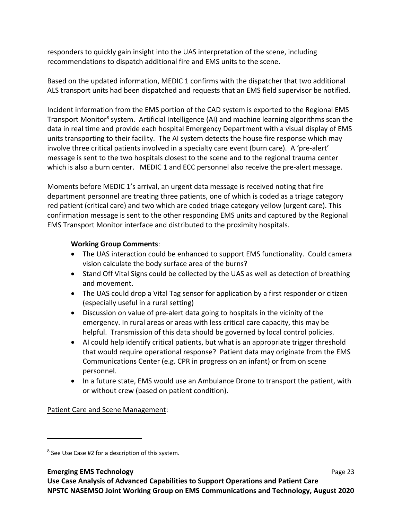responders to quickly gain insight into the UAS interpretation of the scene, including recommendations to dispatch additional fire and EMS units to the scene.

Based on the updated information, MEDIC 1 confirms with the dispatcher that two additional ALS transport units had been dispatched and requests that an EMS field supervisor be notified.

Incident information from the EMS portion of the CAD system is exported to the Regional EMS Transport Monitor<sup>8</sup> system. Artificial Intelligence (AI) and machine learning algorithms scan the data in real time and provide each hospital Emergency Department with a visual display of EMS units transporting to their facility. The AI system detects the house fire response which may involve three critical patients involved in a specialty care event (burn care). A 'pre-alert' message is sent to the two hospitals closest to the scene and to the regional trauma center which is also a burn center. MEDIC 1 and ECC personnel also receive the pre-alert message.

Moments before MEDIC 1's arrival, an urgent data message is received noting that fire department personnel are treating three patients, one of which is coded as a triage category red patient (critical care) and two which are coded triage category yellow (urgent care). This confirmation message is sent to the other responding EMS units and captured by the Regional EMS Transport Monitor interface and distributed to the proximity hospitals.

# **Working Group Comments**:

- The UAS interaction could be enhanced to support EMS functionality. Could camera vision calculate the body surface area of the burns?
- Stand Off Vital Signs could be collected by the UAS as well as detection of breathing and movement.
- The UAS could drop a Vital Tag sensor for application by a first responder or citizen (especially useful in a rural setting)
- Discussion on value of pre-alert data going to hospitals in the vicinity of the emergency. In rural areas or areas with less critical care capacity, this may be helpful. Transmission of this data should be governed by local control policies.
- AI could help identify critical patients, but what is an appropriate trigger threshold that would require operational response? Patient data may originate from the EMS Communications Center (e.g. CPR in progress on an infant) or from on scene personnel.
- In a future state, EMS would use an Ambulance Drone to transport the patient, with or without crew (based on patient condition).

Patient Care and Scene Management:

<sup>&</sup>lt;sup>8</sup> See Use Case #2 for a description of this system.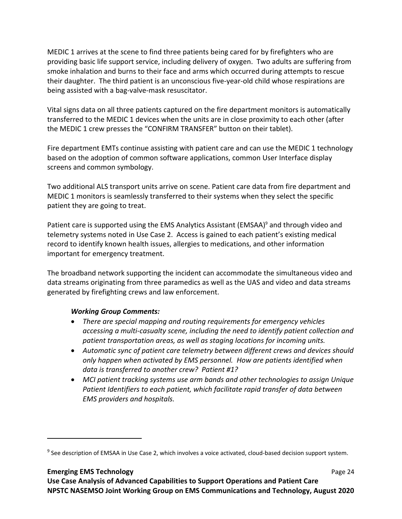MEDIC 1 arrives at the scene to find three patients being cared for by firefighters who are providing basic life support service, including delivery of oxygen. Two adults are suffering from smoke inhalation and burns to their face and arms which occurred during attempts to rescue their daughter. The third patient is an unconscious five‐year‐old child whose respirations are being assisted with a bag‐valve‐mask resuscitator.

Vital signs data on all three patients captured on the fire department monitors is automatically transferred to the MEDIC 1 devices when the units are in close proximity to each other (after the MEDIC 1 crew presses the "CONFIRM TRANSFER" button on their tablet).

Fire department EMTs continue assisting with patient care and can use the MEDIC 1 technology based on the adoption of common software applications, common User Interface display screens and common symbology.

Two additional ALS transport units arrive on scene. Patient care data from fire department and MEDIC 1 monitors is seamlessly transferred to their systems when they select the specific patient they are going to treat.

Patient care is supported using the EMS Analytics Assistant (EMSAA)<sup>9</sup> and through video and telemetry systems noted in Use Case 2. Access is gained to each patient's existing medical record to identify known health issues, allergies to medications, and other information important for emergency treatment.

The broadband network supporting the incident can accommodate the simultaneous video and data streams originating from three paramedics as well as the UAS and video and data streams generated by firefighting crews and law enforcement.

# *Working Group Comments:*

- *There are special mapping and routing requirements for emergency vehicles accessing a multi‐casualty scene, including the need to identify patient collection and patient transportation areas, as well as staging locations for incoming units.*
- *Automatic sync of patient care telemetry between different crews and devices should only happen when activated by EMS personnel. How are patients identified when data is transferred to another crew? Patient #1?*
- *MCI patient tracking systems use arm bands and other technologies to assign Unique Patient Identifiers to each patient, which facilitate rapid transfer of data between EMS providers and hospitals.*

### **Emerging EMS Technology**  Page 24

<sup>&</sup>lt;sup>9</sup> See description of EMSAA in Use Case 2, which involves a voice activated, cloud-based decision support system.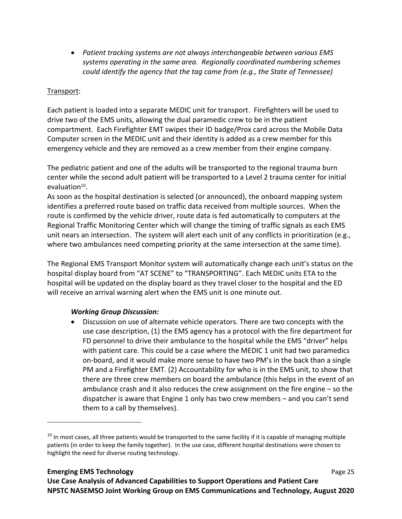*Patient tracking systems are not always interchangeable between various EMS systems operating in the same area. Regionally coordinated numbering schemes could identify the agency that the tag came from (e.g., the State of Tennessee)*

# Transport:

Each patient is loaded into a separate MEDIC unit for transport. Firefighters will be used to drive two of the EMS units, allowing the dual paramedic crew to be in the patient compartment. Each Firefighter EMT swipes their ID badge/Prox card across the Mobile Data Computer screen in the MEDIC unit and their identity is added as a crew member for this emergency vehicle and they are removed as a crew member from their engine company.

The pediatric patient and one of the adults will be transported to the regional trauma burn center while the second adult patient will be transported to a Level 2 trauma center for initial evaluation $10$ .

As soon as the hospital destination is selected (or announced), the onboard mapping system identifies a preferred route based on traffic data received from multiple sources. When the route is confirmed by the vehicle driver, route data is fed automatically to computers at the Regional Traffic Monitoring Center which will change the timing of traffic signals as each EMS unit nears an intersection. The system will alert each unit of any conflicts in prioritization (e.g., where two ambulances need competing priority at the same intersection at the same time).

The Regional EMS Transport Monitor system will automatically change each unit's status on the hospital display board from "AT SCENE" to "TRANSPORTING". Each MEDIC units ETA to the hospital will be updated on the display board as they travel closer to the hospital and the ED will receive an arrival warning alert when the EMS unit is one minute out.

# *Working Group Discussion:*

 Discussion on use of alternate vehicle operators. There are two concepts with the use case description, (1) the EMS agency has a protocol with the fire department for FD personnel to drive their ambulance to the hospital while the EMS "driver" helps with patient care. This could be a case where the MEDIC 1 unit had two paramedics on‐board, and it would make more sense to have two PM's in the back than a single PM and a Firefighter EMT. (2) Accountability for who is in the EMS unit, to show that there are three crew members on board the ambulance (this helps in the event of an ambulance crash and it also reduces the crew assignment on the fire engine – so the dispatcher is aware that Engine 1 only has two crew members – and you can't send them to a call by themselves).

 $10$  In most cases, all three patients would be transported to the same facility if it is capable of managing multiple patients (in order to keep the family together). In the use case, different hospital destinations were chosen to highlight the need for diverse routing technology.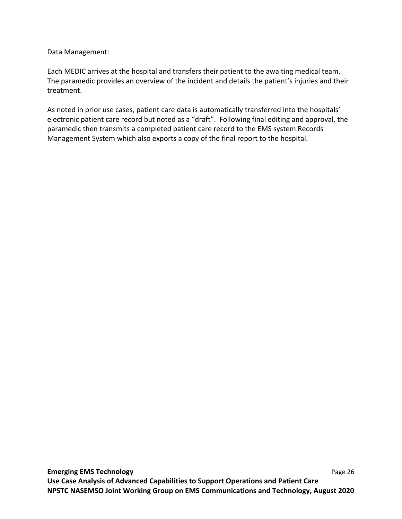### Data Management:

Each MEDIC arrives at the hospital and transfers their patient to the awaiting medical team. The paramedic provides an overview of the incident and details the patient's injuries and their treatment.

As noted in prior use cases, patient care data is automatically transferred into the hospitals' electronic patient care record but noted as a "draft". Following final editing and approval, the paramedic then transmits a completed patient care record to the EMS system Records Management System which also exports a copy of the final report to the hospital.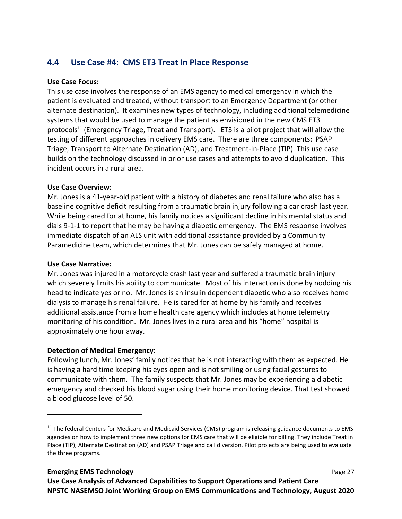# **4.4 Use Case #4: CMS ET3 Treat In Place Response**

### **Use Case Focus:**

This use case involves the response of an EMS agency to medical emergency in which the patient is evaluated and treated, without transport to an Emergency Department (or other alternate destination). It examines new types of technology, including additional telemedicine systems that would be used to manage the patient as envisioned in the new CMS ET3 protocols<sup>11</sup> (Emergency Triage, Treat and Transport). ET3 is a pilot project that will allow the testing of different approaches in delivery EMS care. There are three components: PSAP Triage, Transport to Alternate Destination (AD), and Treatment‐In‐Place (TIP). This use case builds on the technology discussed in prior use cases and attempts to avoid duplication. This incident occurs in a rural area.

### **Use Case Overview:**

Mr. Jones is a 41‐year‐old patient with a history of diabetes and renal failure who also has a baseline cognitive deficit resulting from a traumatic brain injury following a car crash last year. While being cared for at home, his family notices a significant decline in his mental status and dials 9‐1‐1 to report that he may be having a diabetic emergency. The EMS response involves immediate dispatch of an ALS unit with additional assistance provided by a Community Paramedicine team, which determines that Mr. Jones can be safely managed at home.

### **Use Case Narrative:**

Mr. Jones was injured in a motorcycle crash last year and suffered a traumatic brain injury which severely limits his ability to communicate. Most of his interaction is done by nodding his head to indicate yes or no. Mr. Jones is an insulin dependent diabetic who also receives home dialysis to manage his renal failure. He is cared for at home by his family and receives additional assistance from a home health care agency which includes at home telemetry monitoring of his condition. Mr. Jones lives in a rural area and his "home" hospital is approximately one hour away.

# **Detection of Medical Emergency:**

Following lunch, Mr. Jones' family notices that he is not interacting with them as expected. He is having a hard time keeping his eyes open and is not smiling or using facial gestures to communicate with them. The family suspects that Mr. Jones may be experiencing a diabetic emergency and checked his blood sugar using their home monitoring device. That test showed a blood glucose level of 50.

<sup>&</sup>lt;sup>11</sup> The federal Centers for Medicare and Medicaid Services (CMS) program is releasing guidance documents to EMS agencies on how to implement three new options for EMS care that will be eligible for billing. They include Treat in Place (TIP), Alternate Destination (AD) and PSAP Triage and call diversion. Pilot projects are being used to evaluate the three programs.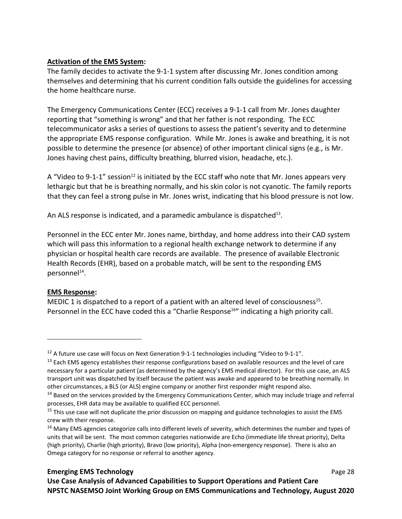# **Activation of the EMS System:**

The family decides to activate the 9-1-1 system after discussing Mr. Jones condition among themselves and determining that his current condition falls outside the guidelines for accessing the home healthcare nurse.

The Emergency Communications Center (ECC) receives a 9‐1‐1 call from Mr. Jones daughter reporting that "something is wrong" and that her father is not responding. The ECC telecommunicator asks a series of questions to assess the patient's severity and to determine the appropriate EMS response configuration. While Mr. Jones is awake and breathing, it is not possible to determine the presence (or absence) of other important clinical signs (e.g., is Mr. Jones having chest pains, difficulty breathing, blurred vision, headache, etc.).

A "Video to 9-1-1" session<sup>12</sup> is initiated by the ECC staff who note that Mr. Jones appears very lethargic but that he is breathing normally, and his skin color is not cyanotic. The family reports that they can feel a strong pulse in Mr. Jones wrist, indicating that his blood pressure is not low.

An ALS response is indicated, and a paramedic ambulance is dispatched<sup>13</sup>.

Personnel in the ECC enter Mr. Jones name, birthday, and home address into their CAD system which will pass this information to a regional health exchange network to determine if any physician or hospital health care records are available. The presence of available Electronic Health Records (EHR), based on a probable match, will be sent to the responding EMS personnel<sup>14</sup>.

# **EMS Response:**

MEDIC 1 is dispatched to a report of a patient with an altered level of consciousness<sup>15</sup>. Personnel in the ECC have coded this a "Charlie Response<sup>16"</sup> indicating a high priority call.

<sup>&</sup>lt;sup>12</sup> A future use case will focus on Next Generation 9-1-1 technologies including "Video to 9-1-1".

<sup>&</sup>lt;sup>13</sup> Each EMS agency establishes their response configurations based on available resources and the level of care necessary for a particular patient (as determined by the agency's EMS medical director). For this use case, an ALS transport unit was dispatched by itself because the patient was awake and appeared to be breathing normally. In other circumstances, a BLS (or ALS) engine company or another first responder might respond also.

 $14$  Based on the services provided by the Emergency Communications Center, which may include triage and referral processes, EHR data may be available to qualified ECC personnel.

<sup>&</sup>lt;sup>15</sup> This use case will not duplicate the prior discussion on mapping and guidance technologies to assist the EMS crew with their response.

<sup>&</sup>lt;sup>16</sup> Many EMS agencies categorize calls into different levels of severity, which determines the number and types of units that will be sent. The most common categories nationwide are Echo (immediate life threat priority), Delta (high priority), Charlie (high priority), Bravo (low priority), Alpha (non-emergency response). There is also an Omega category for no response or referral to another agency.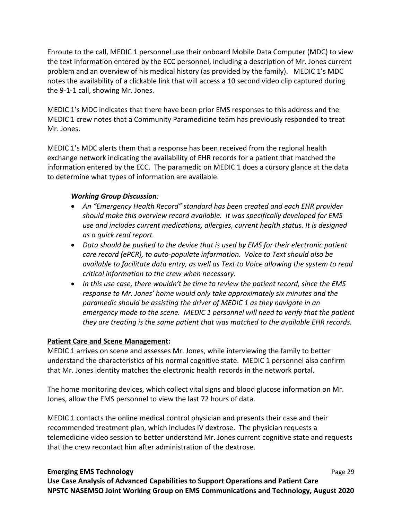Enroute to the call, MEDIC 1 personnel use their onboard Mobile Data Computer (MDC) to view the text information entered by the ECC personnel, including a description of Mr. Jones current problem and an overview of his medical history (as provided by the family). MEDIC 1's MDC notes the availability of a clickable link that will access a 10 second video clip captured during the 9‐1‐1 call, showing Mr. Jones.

MEDIC 1's MDC indicates that there have been prior EMS responses to this address and the MEDIC 1 crew notes that a Community Paramedicine team has previously responded to treat Mr. Jones.

MEDIC 1's MDC alerts them that a response has been received from the regional health exchange network indicating the availability of EHR records for a patient that matched the information entered by the ECC. The paramedic on MEDIC 1 does a cursory glance at the data to determine what types of information are available.

# *Working Group Discussion:*

- *An "Emergency Health Record" standard has been created and each EHR provider should make this overview record available. It was specifically developed for EMS use and includes current medications, allergies, current health status. It is designed as a quick read report.*
- *Data should be pushed to the device that is used by EMS for their electronic patient care record (ePCR), to auto‐populate information. Voice to Text should also be available to facilitate data entry, as well as Text to Voice allowing the system to read critical information to the crew when necessary.*
- *In this use case, there wouldn't be time to review the patient record, since the EMS response to Mr. Jones' home would only take approximately six minutes and the paramedic should be assisting the driver of MEDIC 1 as they navigate in an emergency mode to the scene. MEDIC 1 personnel will need to verify that the patient they are treating is the same patient that was matched to the available EHR records.*

# **Patient Care and Scene Management:**

MEDIC 1 arrives on scene and assesses Mr. Jones, while interviewing the family to better understand the characteristics of his normal cognitive state. MEDIC 1 personnel also confirm that Mr. Jones identity matches the electronic health records in the network portal.

The home monitoring devices, which collect vital signs and blood glucose information on Mr. Jones, allow the EMS personnel to view the last 72 hours of data.

MEDIC 1 contacts the online medical control physician and presents their case and their recommended treatment plan, which includes IV dextrose. The physician requests a telemedicine video session to better understand Mr. Jones current cognitive state and requests that the crew recontact him after administration of the dextrose.

# **Emerging EMS Technology**  Page 29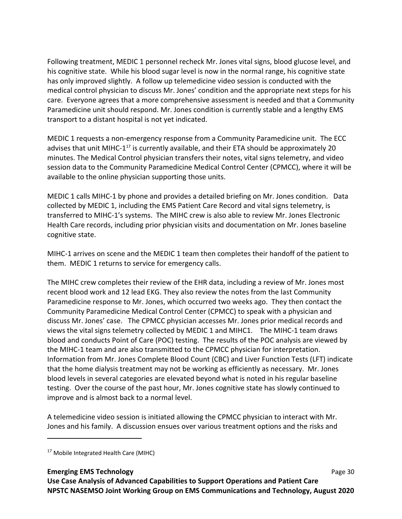Following treatment, MEDIC 1 personnel recheck Mr. Jones vital signs, blood glucose level, and his cognitive state. While his blood sugar level is now in the normal range, his cognitive state has only improved slightly. A follow up telemedicine video session is conducted with the medical control physician to discuss Mr. Jones' condition and the appropriate next steps for his care. Everyone agrees that a more comprehensive assessment is needed and that a Community Paramedicine unit should respond. Mr. Jones condition is currently stable and a lengthy EMS transport to a distant hospital is not yet indicated.

MEDIC 1 requests a non‐emergency response from a Community Paramedicine unit. The ECC advises that unit MIHC-1<sup>17</sup> is currently available, and their ETA should be approximately 20 minutes. The Medical Control physician transfers their notes, vital signs telemetry, and video session data to the Community Paramedicine Medical Control Center (CPMCC), where it will be available to the online physician supporting those units.

MEDIC 1 calls MIHC-1 by phone and provides a detailed briefing on Mr. Jones condition. Data collected by MEDIC 1, including the EMS Patient Care Record and vital signs telemetry, is transferred to MIHC‐1's systems. The MIHC crew is also able to review Mr. Jones Electronic Health Care records, including prior physician visits and documentation on Mr. Jones baseline cognitive state.

MIHC‐1 arrives on scene and the MEDIC 1 team then completes their handoff of the patient to them. MEDIC 1 returns to service for emergency calls.

The MIHC crew completes their review of the EHR data, including a review of Mr. Jones most recent blood work and 12 lead EKG. They also review the notes from the last Community Paramedicine response to Mr. Jones, which occurred two weeks ago. They then contact the Community Paramedicine Medical Control Center (CPMCC) to speak with a physician and discuss Mr. Jones' case. The CPMCC physician accesses Mr. Jones prior medical records and views the vital signs telemetry collected by MEDIC 1 and MIHC1. The MIHC‐1 team draws blood and conducts Point of Care (POC) testing. The results of the POC analysis are viewed by the MIHC‐1 team and are also transmitted to the CPMCC physician for interpretation. Information from Mr. Jones Complete Blood Count (CBC) and Liver Function Tests (LFT) indicate that the home dialysis treatment may not be working as efficiently as necessary. Mr. Jones blood levels in several categories are elevated beyond what is noted in his regular baseline testing. Over the course of the past hour, Mr. Jones cognitive state has slowly continued to improve and is almost back to a normal level.

A telemedicine video session is initiated allowing the CPMCC physician to interact with Mr. Jones and his family. A discussion ensues over various treatment options and the risks and

### **Emerging EMS Technology**  Page 30

<sup>&</sup>lt;sup>17</sup> Mobile Integrated Health Care (MIHC)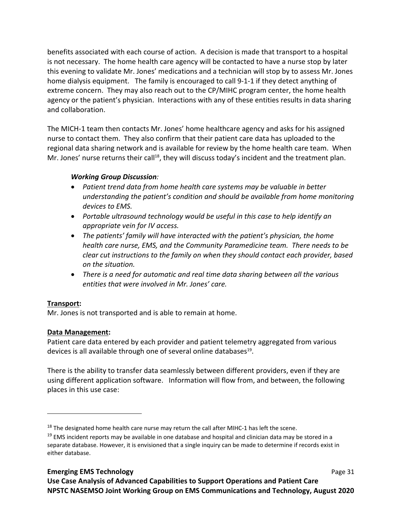benefits associated with each course of action. A decision is made that transport to a hospital is not necessary. The home health care agency will be contacted to have a nurse stop by later this evening to validate Mr. Jones' medications and a technician will stop by to assess Mr. Jones home dialysis equipment. The family is encouraged to call 9‐1‐1 if they detect anything of extreme concern. They may also reach out to the CP/MIHC program center, the home health agency or the patient's physician. Interactions with any of these entities results in data sharing and collaboration.

The MICH‐1 team then contacts Mr. Jones' home healthcare agency and asks for his assigned nurse to contact them. They also confirm that their patient care data has uploaded to the regional data sharing network and is available for review by the home health care team. When Mr. Jones' nurse returns their call<sup>18</sup>, they will discuss today's incident and the treatment plan.

# *Working Group Discussion:*

- *Patient trend data from home health care systems may be valuable in better understanding the patient's condition and should be available from home monitoring devices to EMS.*
- *Portable ultrasound technology would be useful in this case to help identify an appropriate vein for IV access.*
- *The patients' family will have interacted with the patient's physician, the home health care nurse, EMS, and the Community Paramedicine team. There needs to be clear cut instructions to the family on when they should contact each provider, based on the situation.*
- *There is a need for automatic and real time data sharing between all the various entities that were involved in Mr. Jones' care.*

# **Transport:**

Mr. Jones is not transported and is able to remain at home.

# **Data Management:**

Patient care data entered by each provider and patient telemetry aggregated from various devices is all available through one of several online databases<sup>19</sup>.

There is the ability to transfer data seamlessly between different providers, even if they are using different application software. Information will flow from, and between, the following places in this use case:

 $18$  The designated home health care nurse may return the call after MIHC-1 has left the scene.

 $19$  EMS incident reports may be available in one database and hospital and clinician data may be stored in a separate database. However, it is envisioned that a single inquiry can be made to determine if records exist in either database.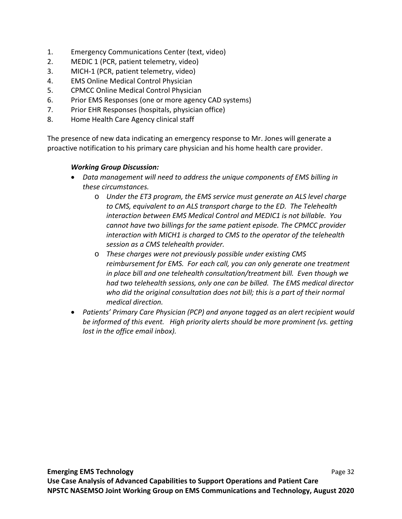- 1. Emergency Communications Center (text, video)
- 2. MEDIC 1 (PCR, patient telemetry, video)
- 3. MICH‐1 (PCR, patient telemetry, video)
- 4. EMS Online Medical Control Physician
- 5. CPMCC Online Medical Control Physician
- 6. Prior EMS Responses (one or more agency CAD systems)
- 7. Prior EHR Responses (hospitals, physician office)
- 8. Home Health Care Agency clinical staff

The presence of new data indicating an emergency response to Mr. Jones will generate a proactive notification to his primary care physician and his home health care provider.

# *Working Group Discussion:*

- *Data management will need to address the unique components of EMS billing in these circumstances.* 
	- o *Under the ET3 program, the EMS service must generate an ALS level charge to CMS, equivalent to an ALS transport charge to the ED. The Telehealth interaction between EMS Medical Control and MEDIC1 is not billable. You cannot have two billings for the same patient episode. The CPMCC provider interaction with MICH1 is charged to CMS to the operator of the telehealth session as a CMS telehealth provider.*
	- o *These charges were not previously possible under existing CMS reimbursement for EMS. For each call, you can only generate one treatment in place bill and one telehealth consultation/treatment bill. Even though we had two telehealth sessions, only one can be billed. The EMS medical director who did the original consultation does not bill; this is a part of their normal medical direction.*
- *Patients' Primary Care Physician (PCP) and anyone tagged as an alert recipient would be informed of this event. High priority alerts should be more prominent (vs. getting lost in the office email inbox).*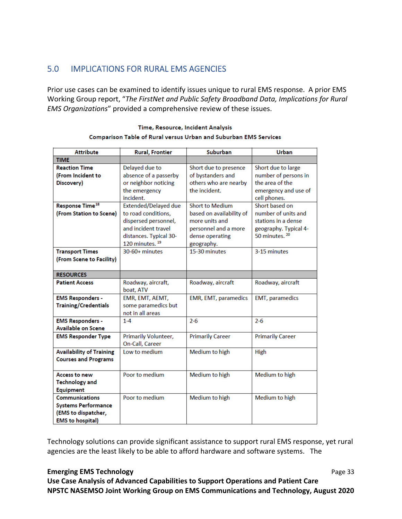# 5.0 IMPLICATIONS FOR RURAL EMS AGENCIES

Prior use cases can be examined to identify issues unique to rural EMS response. A prior EMS Working Group report, "*The FirstNet and Public Safety Broadband Data, Implications for Rural EMS Organizations*" provided a comprehensive review of these issues.

| <b>Attribute</b>                  | <b>Rural, Frontier</b>      | Suburban                 | <b>Urban</b>              |
|-----------------------------------|-----------------------------|--------------------------|---------------------------|
| <b>TIME</b>                       |                             |                          |                           |
| <b>Reaction Time</b>              | Delayed due to              | Short due to presence    | Short due to large        |
| (From Incident to                 | absence of a passerby       | of bystanders and        | number of persons in      |
| Discovery)                        | or neighbor noticing        | others who are nearby    | the area of the           |
|                                   | the emergency               | the incident.            | emergency and use of      |
|                                   | incident.                   |                          | cell phones.              |
| <b>Response Time<sup>18</sup></b> | Extended/Delayed due        | <b>Short to Medium</b>   | Short based on            |
| (From Station to Scene)           | to road conditions,         | based on availability of | number of units and       |
|                                   | dispersed personnel,        | more units and           | stations in a dense       |
|                                   | and incident travel         | personnel and a more     | geography. Typical 4-     |
|                                   | distances. Typical 30-      | dense operating          | 50 minutes. <sup>20</sup> |
|                                   | 120 minutes. <sup>19</sup>  | geography.               |                           |
| <b>Transport Times</b>            | $30-60+$ minutes            | 15-30 minutes            | 3-15 minutes              |
| (From Scene to Facility)          |                             |                          |                           |
|                                   |                             |                          |                           |
| <b>RESOURCES</b>                  |                             |                          |                           |
| <b>Patient Access</b>             | Roadway, aircraft,          | Roadway, aircraft        | Roadway, aircraft         |
|                                   | boat, ATV                   |                          |                           |
| <b>EMS Responders -</b>           | EMR, EMT, AEMT,             | EMR, EMT, paramedics     | <b>EMT, paramedics</b>    |
| <b>Training/Credentials</b>       | some paramedics but         |                          |                           |
|                                   | not in all areas            |                          |                           |
| <b>EMS Responders -</b>           | $1 - 4$                     | $2 - 6$                  | $2 - 6$                   |
| <b>Available on Scene</b>         |                             |                          |                           |
| <b>EMS Responder Type</b>         | <b>Primarily Volunteer,</b> | <b>Primarily Career</b>  | <b>Primarily Career</b>   |
|                                   | On-Call, Career             |                          |                           |
| <b>Availability of Training</b>   | Low to medium               | Medium to high           | High                      |
| <b>Courses and Programs</b>       |                             |                          |                           |
|                                   |                             |                          |                           |
| <b>Access to new</b>              | Poor to medium              | Medium to high           | Medium to high            |
| <b>Technology and</b>             |                             |                          |                           |
| <b>Equipment</b>                  |                             |                          |                           |
| <b>Communications</b>             | Poor to medium              | Medium to high           | Medium to high            |
| <b>Systems Performance</b>        |                             |                          |                           |
| (EMS to dispatcher,               |                             |                          |                           |
| <b>FMS</b> to hospitall           |                             |                          |                           |

#### Time, Resource, Incident Analysis Comparison Table of Rural versus Urban and Suburban EMS Services

Technology solutions can provide significant assistance to support rural EMS response, yet rural agencies are the least likely to be able to afford hardware and software systems. The

### **Emerging EMS Technology Page 33**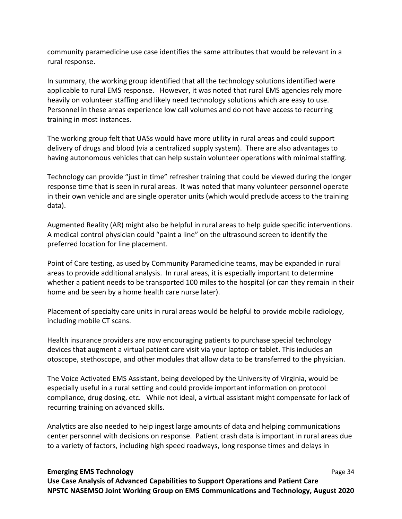community paramedicine use case identifies the same attributes that would be relevant in a rural response.

In summary, the working group identified that all the technology solutions identified were applicable to rural EMS response. However, it was noted that rural EMS agencies rely more heavily on volunteer staffing and likely need technology solutions which are easy to use. Personnel in these areas experience low call volumes and do not have access to recurring training in most instances.

The working group felt that UASs would have more utility in rural areas and could support delivery of drugs and blood (via a centralized supply system). There are also advantages to having autonomous vehicles that can help sustain volunteer operations with minimal staffing.

Technology can provide "just in time" refresher training that could be viewed during the longer response time that is seen in rural areas. It was noted that many volunteer personnel operate in their own vehicle and are single operator units (which would preclude access to the training data).

Augmented Reality (AR) might also be helpful in rural areas to help guide specific interventions. A medical control physician could "paint a line" on the ultrasound screen to identify the preferred location for line placement.

Point of Care testing, as used by Community Paramedicine teams, may be expanded in rural areas to provide additional analysis. In rural areas, it is especially important to determine whether a patient needs to be transported 100 miles to the hospital (or can they remain in their home and be seen by a home health care nurse later).

Placement of specialty care units in rural areas would be helpful to provide mobile radiology, including mobile CT scans.

Health insurance providers are now encouraging patients to purchase special technology devices that augment a virtual patient care visit via your laptop or tablet. This includes an otoscope, stethoscope, and other modules that allow data to be transferred to the physician.

The Voice Activated EMS Assistant, being developed by the University of Virginia, would be especially useful in a rural setting and could provide important information on protocol compliance, drug dosing, etc. While not ideal, a virtual assistant might compensate for lack of recurring training on advanced skills.

Analytics are also needed to help ingest large amounts of data and helping communications center personnel with decisions on response. Patient crash data is important in rural areas due to a variety of factors, including high speed roadways, long response times and delays in

#### **Emerging EMS Technology**  Page 34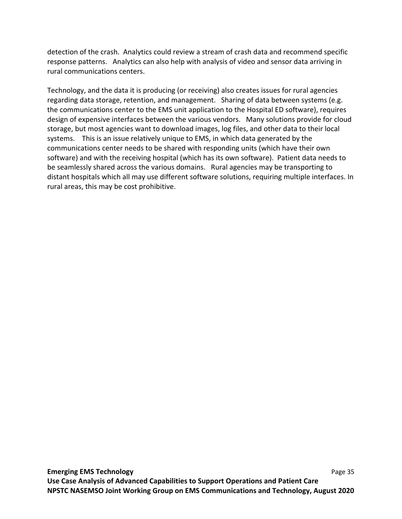detection of the crash. Analytics could review a stream of crash data and recommend specific response patterns. Analytics can also help with analysis of video and sensor data arriving in rural communications centers.

Technology, and the data it is producing (or receiving) also creates issues for rural agencies regarding data storage, retention, and management. Sharing of data between systems (e.g. the communications center to the EMS unit application to the Hospital ED software), requires design of expensive interfaces between the various vendors. Many solutions provide for cloud storage, but most agencies want to download images, log files, and other data to their local systems. This is an issue relatively unique to EMS, in which data generated by the communications center needs to be shared with responding units (which have their own software) and with the receiving hospital (which has its own software). Patient data needs to be seamlessly shared across the various domains. Rural agencies may be transporting to distant hospitals which all may use different software solutions, requiring multiple interfaces. In rural areas, this may be cost prohibitive.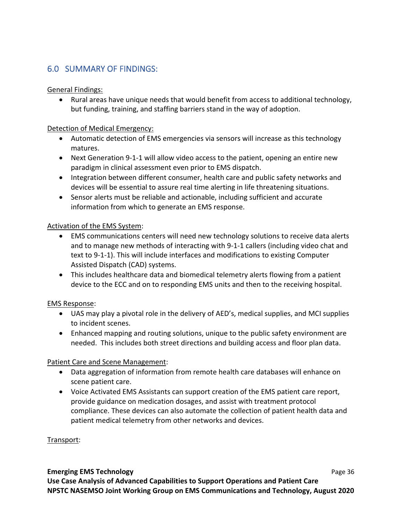# 6.0 SUMMARY OF FINDINGS:

### General Findings:

 Rural areas have unique needs that would benefit from access to additional technology, but funding, training, and staffing barriers stand in the way of adoption.

### Detection of Medical Emergency:

- Automatic detection of EMS emergencies via sensors will increase as this technology matures.
- Next Generation 9-1-1 will allow video access to the patient, opening an entire new paradigm in clinical assessment even prior to EMS dispatch.
- Integration between different consumer, health care and public safety networks and devices will be essential to assure real time alerting in life threatening situations.
- Sensor alerts must be reliable and actionable, including sufficient and accurate information from which to generate an EMS response.

### Activation of the EMS System:

- EMS communications centers will need new technology solutions to receive data alerts and to manage new methods of interacting with 9‐1‐1 callers (including video chat and text to 9‐1‐1). This will include interfaces and modifications to existing Computer Assisted Dispatch (CAD) systems.
- This includes healthcare data and biomedical telemetry alerts flowing from a patient device to the ECC and on to responding EMS units and then to the receiving hospital.

### EMS Response:

- UAS may play a pivotal role in the delivery of AED's, medical supplies, and MCI supplies to incident scenes.
- Enhanced mapping and routing solutions, unique to the public safety environment are needed. This includes both street directions and building access and floor plan data.

# Patient Care and Scene Management:

- Data aggregation of information from remote health care databases will enhance on scene patient care.
- Voice Activated EMS Assistants can support creation of the EMS patient care report, provide guidance on medication dosages, and assist with treatment protocol compliance. These devices can also automate the collection of patient health data and patient medical telemetry from other networks and devices.

### Transport:

### **Emerging EMS Technology 1999 CMS Page 36 Use Case Analysis of Advanced Capabilities to Support Operations and Patient Care NPSTC NASEMSO Joint Working Group on EMS Communications and Technology, August 2020**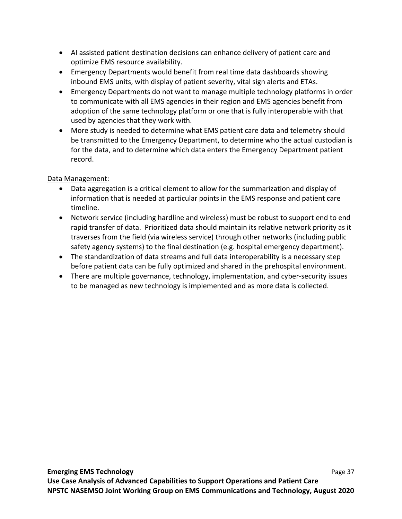- AI assisted patient destination decisions can enhance delivery of patient care and optimize EMS resource availability.
- Emergency Departments would benefit from real time data dashboards showing inbound EMS units, with display of patient severity, vital sign alerts and ETAs.
- Emergency Departments do not want to manage multiple technology platforms in order to communicate with all EMS agencies in their region and EMS agencies benefit from adoption of the same technology platform or one that is fully interoperable with that used by agencies that they work with.
- More study is needed to determine what EMS patient care data and telemetry should be transmitted to the Emergency Department, to determine who the actual custodian is for the data, and to determine which data enters the Emergency Department patient record.

# Data Management:

- Data aggregation is a critical element to allow for the summarization and display of information that is needed at particular points in the EMS response and patient care timeline.
- Network service (including hardline and wireless) must be robust to support end to end rapid transfer of data. Prioritized data should maintain its relative network priority as it traverses from the field (via wireless service) through other networks (including public safety agency systems) to the final destination (e.g. hospital emergency department).
- The standardization of data streams and full data interoperability is a necessary step before patient data can be fully optimized and shared in the prehospital environment.
- There are multiple governance, technology, implementation, and cyber‐security issues to be managed as new technology is implemented and as more data is collected.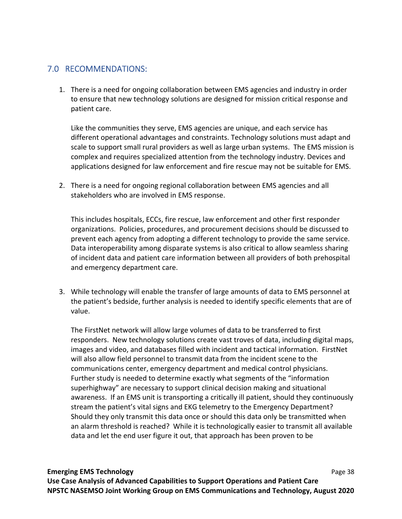# 7.0 RECOMMENDATIONS:

1. There is a need for ongoing collaboration between EMS agencies and industry in order to ensure that new technology solutions are designed for mission critical response and patient care.

Like the communities they serve, EMS agencies are unique, and each service has different operational advantages and constraints. Technology solutions must adapt and scale to support small rural providers as well as large urban systems. The EMS mission is complex and requires specialized attention from the technology industry. Devices and applications designed for law enforcement and fire rescue may not be suitable for EMS.

2. There is a need for ongoing regional collaboration between EMS agencies and all stakeholders who are involved in EMS response.

This includes hospitals, ECCs, fire rescue, law enforcement and other first responder organizations. Policies, procedures, and procurement decisions should be discussed to prevent each agency from adopting a different technology to provide the same service. Data interoperability among disparate systems is also critical to allow seamless sharing of incident data and patient care information between all providers of both prehospital and emergency department care.

3. While technology will enable the transfer of large amounts of data to EMS personnel at the patient's bedside, further analysis is needed to identify specific elements that are of value.

The FirstNet network will allow large volumes of data to be transferred to first responders. New technology solutions create vast troves of data, including digital maps, images and video, and databases filled with incident and tactical information. FirstNet will also allow field personnel to transmit data from the incident scene to the communications center, emergency department and medical control physicians. Further study is needed to determine exactly what segments of the "information superhighway" are necessary to support clinical decision making and situational awareness. If an EMS unit is transporting a critically ill patient, should they continuously stream the patient's vital signs and EKG telemetry to the Emergency Department? Should they only transmit this data once or should this data only be transmitted when an alarm threshold is reached? While it is technologically easier to transmit all available data and let the end user figure it out, that approach has been proven to be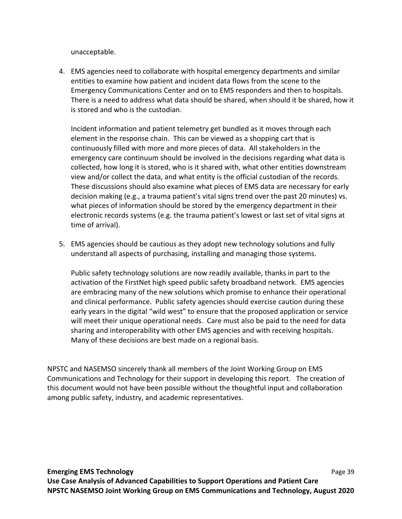unacceptable.

4. EMS agencies need to collaborate with hospital emergency departments and similar entities to examine how patient and incident data flows from the scene to the Emergency Communications Center and on to EMS responders and then to hospitals. There is a need to address what data should be shared, when should it be shared, how it is stored and who is the custodian.

Incident information and patient telemetry get bundled as it moves through each element in the response chain. This can be viewed as a shopping cart that is continuously filled with more and more pieces of data. All stakeholders in the emergency care continuum should be involved in the decisions regarding what data is collected, how long it is stored, who is it shared with, what other entities downstream view and/or collect the data, and what entity is the official custodian of the records. These discussions should also examine what pieces of EMS data are necessary for early decision making (e.g., a trauma patient's vital signs trend over the past 20 minutes) vs. what pieces of information should be stored by the emergency department in their electronic records systems (e.g. the trauma patient's lowest or last set of vital signs at time of arrival).

5. EMS agencies should be cautious as they adopt new technology solutions and fully understand all aspects of purchasing, installing and managing those systems.

Public safety technology solutions are now readily available, thanks in part to the activation of the FirstNet high speed public safety broadband network. EMS agencies are embracing many of the new solutions which promise to enhance their operational and clinical performance. Public safety agencies should exercise caution during these early years in the digital "wild west" to ensure that the proposed application or service will meet their unique operational needs. Care must also be paid to the need for data sharing and interoperability with other EMS agencies and with receiving hospitals. Many of these decisions are best made on a regional basis.

NPSTC and NASEMSO sincerely thank all members of the Joint Working Group on EMS Communications and Technology for their support in developing this report. The creation of this document would not have been possible without the thoughtful input and collaboration among public safety, industry, and academic representatives.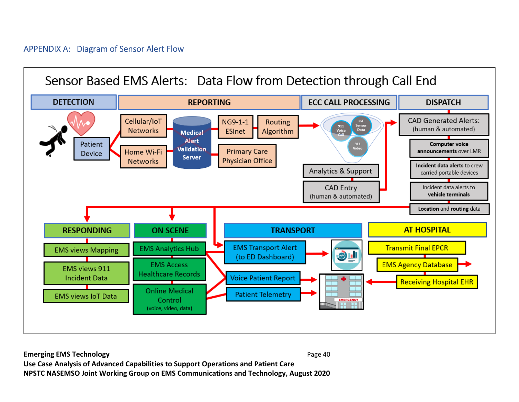# APPENDIX A: Diagram of Sensor Alert Flow

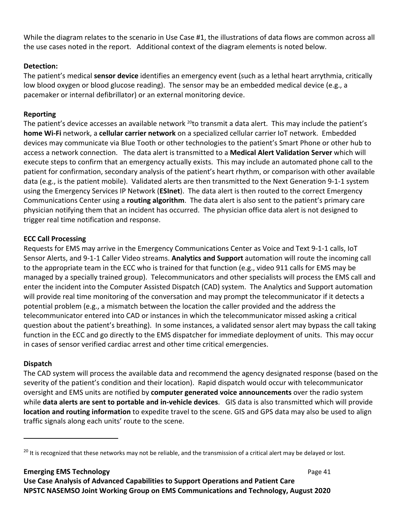While the diagram relates to the scenario in Use Case #1, the illustrations of data flows are common across all the use cases noted in the report. Additional context of the diagram elements is noted below.

# **Detection:**

The patient's medical **sensor device** identifies an emergency event (such as a lethal heart arrythmia, critically low blood oxygen or blood glucose reading). The sensor may be an embedded medical device (e.g., a pacemaker or internal defibrillator) or an external monitoring device.

# **Reporting**

The patient's device accesses an available network  $^{20}$ to transmit a data alert. This may include the patient's **home Wi‐Fi** network, a **cellular carrier network** on a specialized cellular carrier IoT network. Embedded devices may communicate via Blue Tooth or other technologies to the patient's Smart Phone or other hub to access a network connection. The data alert is transmitted to a **Medical Alert Validation Server** which will execute steps to confirm that an emergency actually exists. This may include an automated phone call to the patient for confirmation, secondary analysis of the patient's heart rhythm, or comparison with other available data (e.g., is the patient mobile). Validated alerts are then transmitted to the Next Generation 9‐1‐1 system using the Emergency Services IP Network (**ESInet**). The data alert is then routed to the correct Emergency Communications Center using a **routing algorithm**. The data alert is also sent to the patient's primary care physician notifying them that an incident has occurred. The physician office data alert is not designed to trigger real time notification and response.

# **ECC Call Processing**

Requests for EMS may arrive in the Emergency Communications Center as Voice and Text 9‐1‐1 calls, IoT Sensor Alerts, and 9‐1‐1 Caller Video streams. **Analytics and Support** automation will route the incoming call to the appropriate team in the ECC who is trained for that function (e.g., video 911 calls for EMS may be managed by a specially trained group). Telecommunicators and other specialists will process the EMS call and enter the incident into the Computer Assisted Dispatch (CAD) system. The Analytics and Support automation will provide real time monitoring of the conversation and may prompt the telecommunicator if it detects a potential problem (e.g., a mismatch between the location the caller provided and the address the telecommunicator entered into CAD or instances in which the telecommunicator missed asking a critical question about the patient's breathing). In some instances, a validated sensor alert may bypass the call taking function in the ECC and go directly to the EMS dispatcher for immediate deployment of units. This may occur in cases of sensor verified cardiac arrest and other time critical emergencies.

# **Dispatch**

The CAD system will process the available data and recommend the agency designated response (based on the severity of the patient's condition and their location). Rapid dispatch would occur with telecommunicator oversight and EMS units are notified by **computer generated voice announcements** over the radio system while **data alerts are sent to portable and in‐vehicle devices**. GIS data is also transmitted which will provide **location and routing information** to expedite travel to the scene. GIS and GPS data may also be used to align traffic signals along each units' route to the scene.

# **Emerging EMS Technology**  Page 41

<sup>&</sup>lt;sup>20</sup> It is recognized that these networks may not be reliable, and the transmission of a critical alert may be delayed or lost.